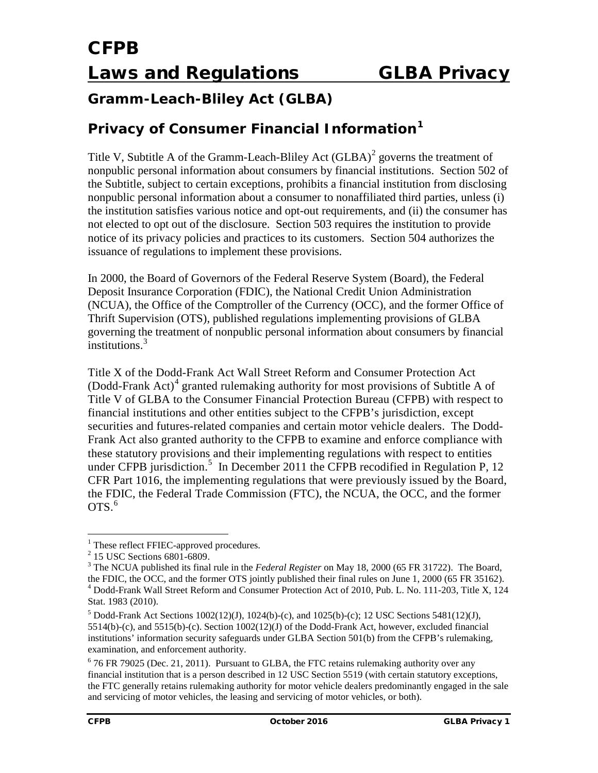### **Gramm-Leach-Bliley Act (GLBA)**

### **Privacy of Consumer Financial Information[1](#page-0-0)**

Title V, Subtitle A of the Gramm-Leach-Bliley Act  $(GLBA)^2$  $(GLBA)^2$  governs the treatment of nonpublic personal information about consumers by financial institutions. Section 502 of the Subtitle, subject to certain exceptions, prohibits a financial institution from disclosing nonpublic personal information about a consumer to nonaffiliated third parties, unless (i) the institution satisfies various notice and opt-out requirements, and (ii) the consumer has not elected to opt out of the disclosure. Section 503 requires the institution to provide notice of its privacy policies and practices to its customers. Section 504 authorizes the issuance of regulations to implement these provisions.

In 2000, the Board of Governors of the Federal Reserve System (Board), the Federal Deposit Insurance Corporation (FDIC), the National Credit Union Administration (NCUA), the Office of the Comptroller of the Currency (OCC), and the former Office of Thrift Supervision (OTS), published regulations implementing provisions of GLBA governing the treatment of nonpublic personal information about consumers by financial institutions. [3](#page-0-2)

Title X of the Dodd-Frank Act Wall Street Reform and Consumer Protection Act (Dodd-Frank Act) [4](#page-0-3) granted rulemaking authority for most provisions of Subtitle A of Title V of GLBA to the Consumer Financial Protection Bureau (CFPB) with respect to financial institutions and other entities subject to the CFPB's jurisdiction, except securities and futures-related companies and certain motor vehicle dealers. The Dodd-Frank Act also granted authority to the CFPB to examine and enforce compliance with these statutory provisions and their implementing regulations with respect to entities under CFPB jurisdiction.<sup>[5](#page-0-4)</sup> In December 2011 the CFPB recodified in Regulation P, 12 CFR Part 1016, the implementing regulations that were previously issued by the Board, the FDIC, the Federal Trade Commission (FTC), the NCUA, the OCC, and the former  $OTS.<sup>6</sup>$  $OTS.<sup>6</sup>$  $OTS.<sup>6</sup>$ 

<span id="page-0-0"></span><sup>1</sup> These reflect FFIEC-approved procedures.<br><sup>2</sup> 15 USC Sections 6801-6809.<br><sup>3</sup> The NCUA published its final rule in the *Federal Register* on May 18, 2000 (65 FR 31722). The Board, the FDIC, the OCC, and the former OTS jo  $t^4$  Dodd-Frank Wall Street Reform and Consumer Protection Act of 2010, Pub. L. No. 111-203, Title X, 124 Stat. 1983 (2010).

<span id="page-0-2"></span><span id="page-0-1"></span>

<span id="page-0-4"></span><span id="page-0-3"></span> $5 \text{ Dodd-Frank}$  Act Sections 1002(12)(J), 1024(b)-(c), and 1025(b)-(c); 12 USC Sections 5481(12)(J), 5514(b)-(c), and 5515(b)-(c). Section 1002(12)(J) of the Dodd-Frank Act, however, excluded financial institutions' information security safeguards under GLBA Section 501(b) from the CFPB's rulemaking, examination, and enforcement authority.<br><sup>6</sup> 76 FR 79025 (Dec. 21, 2011). Pursuant to GLBA, the FTC retains rulemaking authority over any

<span id="page-0-5"></span>financial institution that is a person described in 12 USC Section 5519 (with certain statutory exceptions, the FTC generally retains rulemaking authority for motor vehicle dealers predominantly engaged in the sale and servicing of motor vehicles, the leasing and servicing of motor vehicles, or both).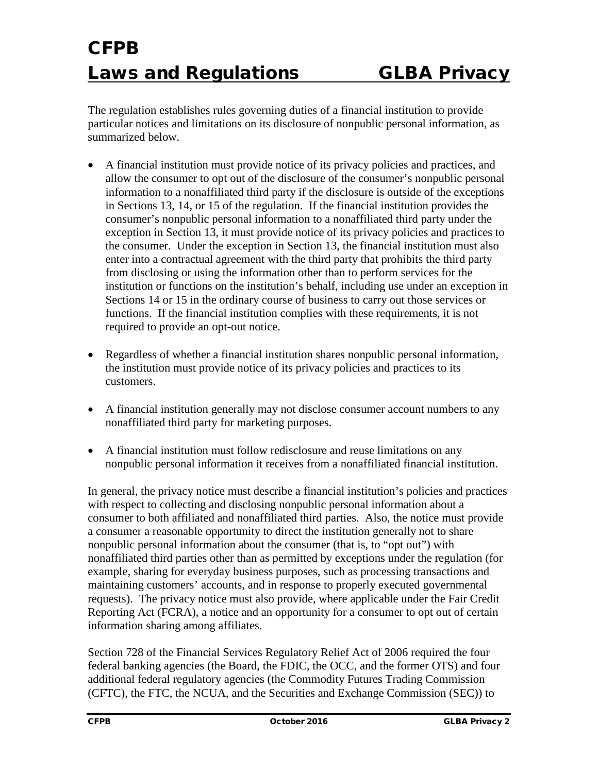The regulation establishes rules governing duties of a financial institution to provide particular notices and limitations on its disclosure of nonpublic personal information, as summarized below.

- A financial institution must provide notice of its privacy policies and practices, and allow the consumer to opt out of the disclosure of the consumer's nonpublic personal information to a nonaffiliated third party if the disclosure is outside of the exceptions in Sections 13, 14, or 15 of the regulation. If the financial institution provides the consumer's nonpublic personal information to a nonaffiliated third party under the exception in Section 13, it must provide notice of its privacy policies and practices to the consumer. Under the exception in Section 13, the financial institution must also enter into a contractual agreement with the third party that prohibits the third party from disclosing or using the information other than to perform services for the institution or functions on the institution's behalf, including use under an exception in Sections 14 or 15 in the ordinary course of business to carry out those services or functions. If the financial institution complies with these requirements, it is not required to provide an opt-out notice.
- Regardless of whether a financial institution shares nonpublic personal information, the institution must provide notice of its privacy policies and practices to its customers.
- A financial institution generally may not disclose consumer account numbers to any nonaffiliated third party for marketing purposes.
- A financial institution must follow redisclosure and reuse limitations on any nonpublic personal information it receives from a nonaffiliated financial institution.

In general, the privacy notice must describe a financial institution's policies and practices with respect to collecting and disclosing nonpublic personal information about a consumer to both affiliated and nonaffiliated third parties. Also, the notice must provide a consumer a reasonable opportunity to direct the institution generally not to share nonpublic personal information about the consumer (that is, to "opt out") with nonaffiliated third parties other than as permitted by exceptions under the regulation (for example, sharing for everyday business purposes, such as processing transactions and maintaining customers' accounts, and in response to properly executed governmental requests). The privacy notice must also provide, where applicable under the Fair Credit Reporting Act (FCRA), a notice and an opportunity for a consumer to opt out of certain information sharing among affiliates.

Section 728 of the Financial Services Regulatory Relief Act of 2006 required the four federal banking agencies (the Board, the FDIC, the OCC, and the former OTS) and four additional federal regulatory agencies (the Commodity Futures Trading Commission (CFTC), the FTC, the NCUA, and the Securities and Exchange Commission (SEC)) to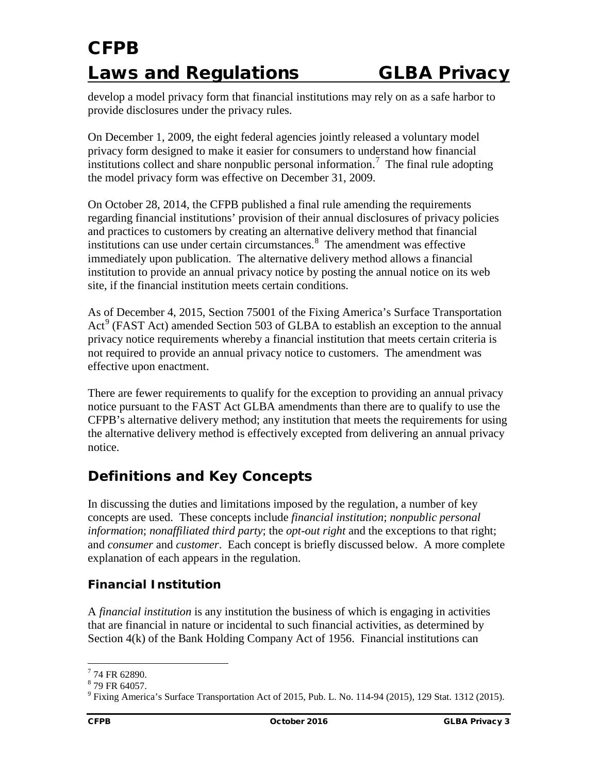develop a model privacy form that financial institutions may rely on as a safe harbor to provide disclosures under the privacy rules.

On December 1, 2009, the eight federal agencies jointly released a voluntary model privacy form designed to make it easier for consumers to understand how financial institutions collect and share nonpublic personal information.<sup>[7](#page-2-0)</sup> The final rule adopting the model privacy form was effective on December 31, 2009.

On October 28, 2014, the CFPB published a final rule amending the requirements regarding financial institutions' provision of their annual disclosures of privacy policies and practices to customers by creating an alternative delivery method that financial institutions can use under certain circumstances.<sup>[8](#page-2-1)</sup> The amendment was effective immediately upon publication. The alternative delivery method allows a financial institution to provide an annual privacy notice by posting the annual notice on its web site, if the financial institution meets certain conditions.

As of December 4, 2015, Section 75001 of the Fixing America's Surface Transportation  $Act^9$  $Act^9$  (FAST Act) amended Section 503 of GLBA to establish an exception to the annual privacy notice requirements whereby a financial institution that meets certain criteria is not required to provide an annual privacy notice to customers. The amendment was effective upon enactment.

There are fewer requirements to qualify for the exception to providing an annual privacy notice pursuant to the FAST Act GLBA amendments than there are to qualify to use the CFPB's alternative delivery method; any institution that meets the requirements for using the alternative delivery method is effectively excepted from delivering an annual privacy notice.

### **Definitions and Key Concepts**

In discussing the duties and limitations imposed by the regulation, a number of key concepts are used. These concepts include *financial institution*; *nonpublic personal information*; *nonaffiliated third party*; the *opt-out right* and the exceptions to that right; and *consumer* and *customer*. Each concept is briefly discussed below. A more complete explanation of each appears in the regulation.

#### *Financial Institution*

A *financial institution* is any institution the business of which is engaging in activities that are financial in nature or incidental to such financial activities, as determined by Section 4(k) of the Bank Holding Company Act of 1956. Financial institutions can

<span id="page-2-1"></span><span id="page-2-0"></span> $774$  FR 62890.<br> $879$  FR 64057.

<span id="page-2-2"></span><sup>9</sup> Fixing America's Surface Transportation Act of 2015, Pub. L. No. 114-94 (2015), 129 Stat. 1312 (2015).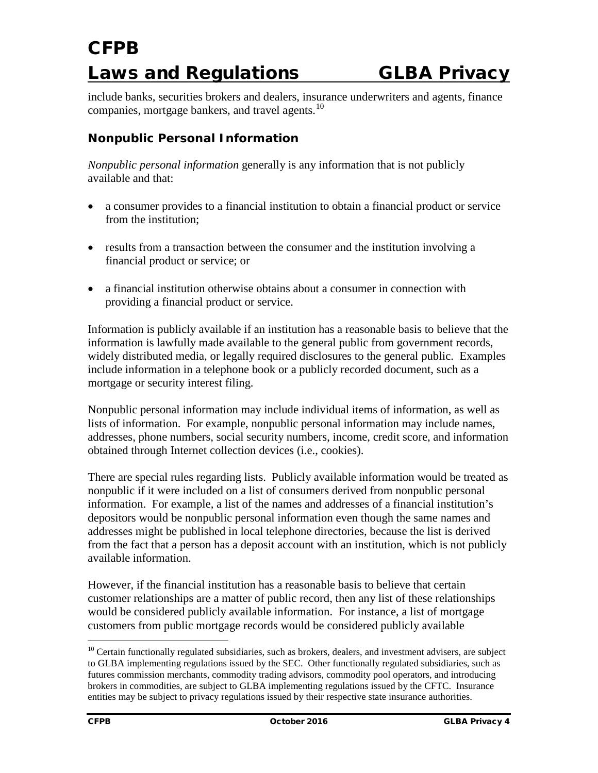include banks, securities brokers and dealers, insurance underwriters and agents, finance companies, mortgage bankers, and travel agents. $^{10}$ 

#### *Nonpublic Personal Information*

*Nonpublic personal information* generally is any information that is not publicly available and that:

- a consumer provides to a financial institution to obtain a financial product or service from the institution;
- results from a transaction between the consumer and the institution involving a financial product or service; or
- a financial institution otherwise obtains about a consumer in connection with providing a financial product or service.

Information is publicly available if an institution has a reasonable basis to believe that the information is lawfully made available to the general public from government records, widely distributed media, or legally required disclosures to the general public. Examples include information in a telephone book or a publicly recorded document, such as a mortgage or security interest filing.

Nonpublic personal information may include individual items of information, as well as lists of information. For example, nonpublic personal information may include names, addresses, phone numbers, social security numbers, income, credit score, and information obtained through Internet collection devices (i.e., cookies).

There are special rules regarding lists. Publicly available information would be treated as nonpublic if it were included on a list of consumers derived from nonpublic personal information. For example, a list of the names and addresses of a financial institution's depositors would be nonpublic personal information even though the same names and addresses might be published in local telephone directories, because the list is derived from the fact that a person has a deposit account with an institution, which is not publicly available information.

However, if the financial institution has a reasonable basis to believe that certain customer relationships are a matter of public record, then any list of these relationships would be considered publicly available information. For instance, a list of mortgage customers from public mortgage records would be considered publicly available

<span id="page-3-0"></span><sup>&</sup>lt;sup>10</sup> Certain functionally regulated subsidiaries, such as brokers, dealers, and investment advisers, are subject to GLBA implementing regulations issued by the SEC. Other functionally regulated subsidiaries, such as futures commission merchants, commodity trading advisors, commodity pool operators, and introducing brokers in commodities, are subject to GLBA implementing regulations issued by the CFTC. Insurance entities may be subject to privacy regulations issued by their respective state insurance authorities.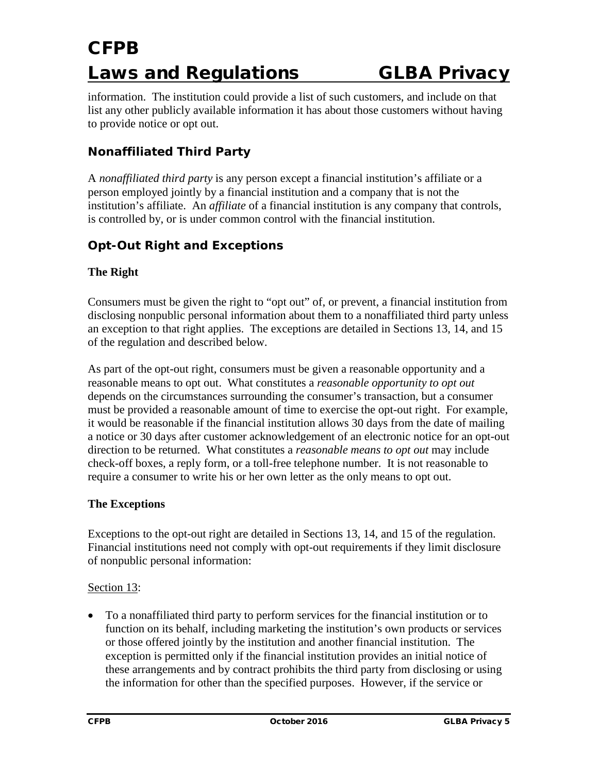information. The institution could provide a list of such customers, and include on that list any other publicly available information it has about those customers without having to provide notice or opt out.

#### *Nonaffiliated Third Party*

A *nonaffiliated third party* is any person except a financial institution's affiliate or a person employed jointly by a financial institution and a company that is not the institution's affiliate. An *affiliate* of a financial institution is any company that controls, is controlled by, or is under common control with the financial institution.

#### *Opt-Out Right and Exceptions*

#### **The Right**

Consumers must be given the right to "opt out" of, or prevent, a financial institution from disclosing nonpublic personal information about them to a nonaffiliated third party unless an exception to that right applies. The exceptions are detailed in Sections 13, 14, and 15 of the regulation and described below.

As part of the opt-out right, consumers must be given a reasonable opportunity and a reasonable means to opt out. What constitutes a *reasonable opportunity to opt out* depends on the circumstances surrounding the consumer's transaction, but a consumer must be provided a reasonable amount of time to exercise the opt-out right. For example, it would be reasonable if the financial institution allows 30 days from the date of mailing a notice or 30 days after customer acknowledgement of an electronic notice for an opt-out direction to be returned. What constitutes a *reasonable means to opt out* may include check-off boxes, a reply form, or a toll-free telephone number. It is not reasonable to require a consumer to write his or her own letter as the only means to opt out.

#### **The Exceptions**

Exceptions to the opt-out right are detailed in Sections 13, 14, and 15 of the regulation. Financial institutions need not comply with opt-out requirements if they limit disclosure of nonpublic personal information:

#### Section 13:

• To a nonaffiliated third party to perform services for the financial institution or to function on its behalf, including marketing the institution's own products or services or those offered jointly by the institution and another financial institution. The exception is permitted only if the financial institution provides an initial notice of these arrangements and by contract prohibits the third party from disclosing or using the information for other than the specified purposes. However, if the service or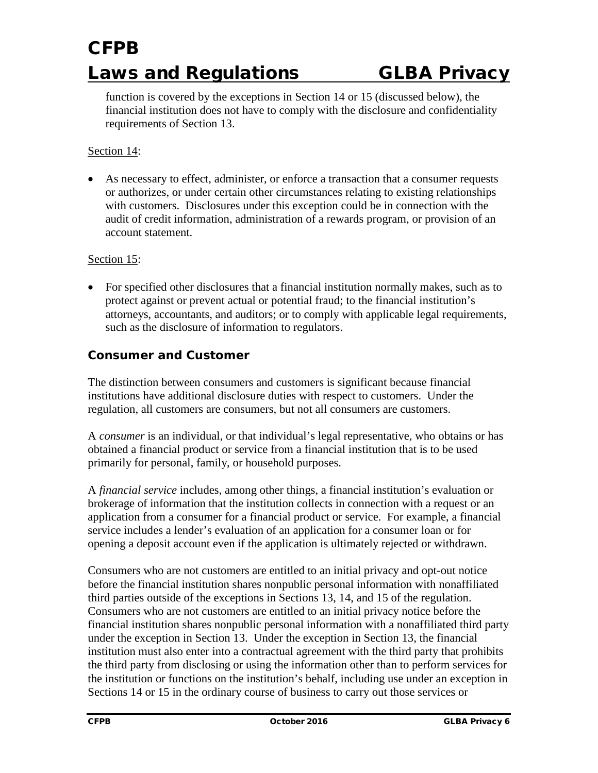function is covered by the exceptions in Section 14 or 15 (discussed below), the financial institution does not have to comply with the disclosure and confidentiality requirements of Section 13.

#### Section 14:

• As necessary to effect, administer, or enforce a transaction that a consumer requests or authorizes, or under certain other circumstances relating to existing relationships with customers. Disclosures under this exception could be in connection with the audit of credit information, administration of a rewards program, or provision of an account statement.

#### Section 15:

• For specified other disclosures that a financial institution normally makes, such as to protect against or prevent actual or potential fraud; to the financial institution's attorneys, accountants, and auditors; or to comply with applicable legal requirements, such as the disclosure of information to regulators.

#### *Consumer and Customer*

The distinction between consumers and customers is significant because financial institutions have additional disclosure duties with respect to customers. Under the regulation, all customers are consumers, but not all consumers are customers.

A *consumer* is an individual, or that individual's legal representative, who obtains or has obtained a financial product or service from a financial institution that is to be used primarily for personal, family, or household purposes.

A *financial service* includes, among other things, a financial institution's evaluation or brokerage of information that the institution collects in connection with a request or an application from a consumer for a financial product or service. For example, a financial service includes a lender's evaluation of an application for a consumer loan or for opening a deposit account even if the application is ultimately rejected or withdrawn.

Consumers who are not customers are entitled to an initial privacy and opt-out notice before the financial institution shares nonpublic personal information with nonaffiliated third parties outside of the exceptions in Sections 13, 14, and 15 of the regulation. Consumers who are not customers are entitled to an initial privacy notice before the financial institution shares nonpublic personal information with a nonaffiliated third party under the exception in Section 13. Under the exception in Section 13, the financial institution must also enter into a contractual agreement with the third party that prohibits the third party from disclosing or using the information other than to perform services for the institution or functions on the institution's behalf, including use under an exception in Sections 14 or 15 in the ordinary course of business to carry out those services or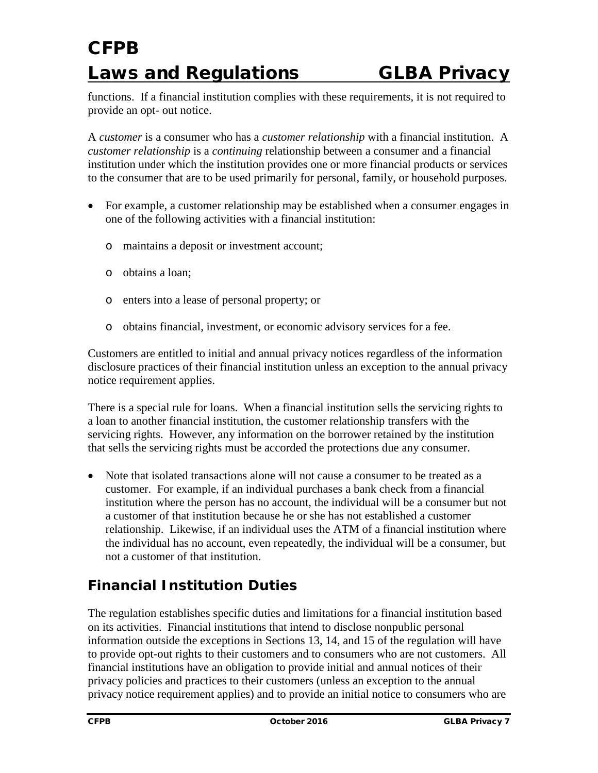functions. If a financial institution complies with these requirements, it is not required to provide an opt- out notice.

A *customer* is a consumer who has a *customer relationship* with a financial institution. A *customer relationship* is a *continuing* relationship between a consumer and a financial institution under which the institution provides one or more financial products or services to the consumer that are to be used primarily for personal, family, or household purposes.

- For example, a customer relationship may be established when a consumer engages in one of the following activities with a financial institution:
	- o maintains a deposit or investment account;
	- o obtains a loan;
	- o enters into a lease of personal property; or
	- o obtains financial, investment, or economic advisory services for a fee.

Customers are entitled to initial and annual privacy notices regardless of the information disclosure practices of their financial institution unless an exception to the annual privacy notice requirement applies.

There is a special rule for loans. When a financial institution sells the servicing rights to a loan to another financial institution, the customer relationship transfers with the servicing rights. However, any information on the borrower retained by the institution that sells the servicing rights must be accorded the protections due any consumer.

• Note that isolated transactions alone will not cause a consumer to be treated as a customer. For example, if an individual purchases a bank check from a financial institution where the person has no account, the individual will be a consumer but not a customer of that institution because he or she has not established a customer relationship. Likewise, if an individual uses the ATM of a financial institution where the individual has no account, even repeatedly, the individual will be a consumer, but not a customer of that institution.

### **Financial Institution Duties**

The regulation establishes specific duties and limitations for a financial institution based on its activities. Financial institutions that intend to disclose nonpublic personal information outside the exceptions in Sections 13, 14, and 15 of the regulation will have to provide opt-out rights to their customers and to consumers who are not customers. All financial institutions have an obligation to provide initial and annual notices of their privacy policies and practices to their customers (unless an exception to the annual privacy notice requirement applies) and to provide an initial notice to consumers who are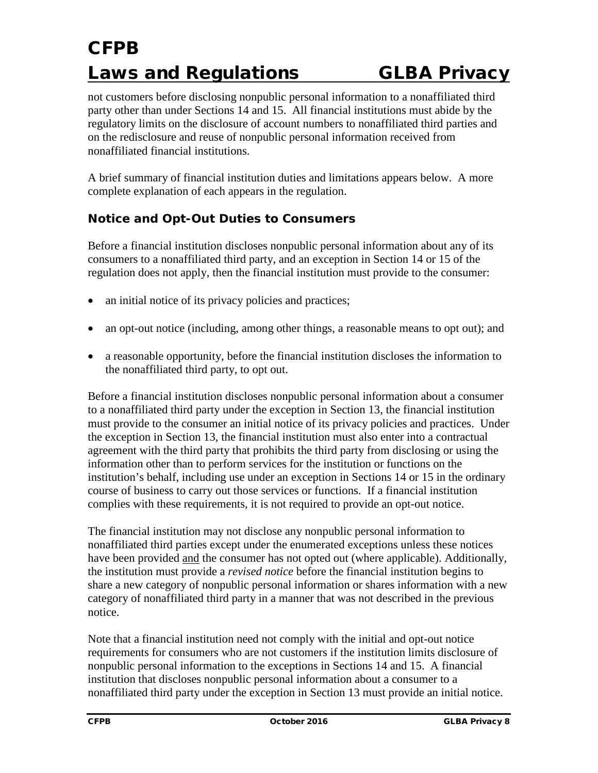not customers before disclosing nonpublic personal information to a nonaffiliated third party other than under Sections 14 and 15. All financial institutions must abide by the regulatory limits on the disclosure of account numbers to nonaffiliated third parties and on the redisclosure and reuse of nonpublic personal information received from nonaffiliated financial institutions.

A brief summary of financial institution duties and limitations appears below. A more complete explanation of each appears in the regulation.

#### *Notice and Opt-Out Duties to Consumers*

Before a financial institution discloses nonpublic personal information about any of its consumers to a nonaffiliated third party, and an exception in Section 14 or 15 of the regulation does not apply, then the financial institution must provide to the consumer:

- an initial notice of its privacy policies and practices;
- an opt-out notice (including, among other things, a reasonable means to opt out); and
- a reasonable opportunity, before the financial institution discloses the information to the nonaffiliated third party, to opt out.

Before a financial institution discloses nonpublic personal information about a consumer to a nonaffiliated third party under the exception in Section 13, the financial institution must provide to the consumer an initial notice of its privacy policies and practices. Under the exception in Section 13, the financial institution must also enter into a contractual agreement with the third party that prohibits the third party from disclosing or using the information other than to perform services for the institution or functions on the institution's behalf, including use under an exception in Sections 14 or 15 in the ordinary course of business to carry out those services or functions. If a financial institution complies with these requirements, it is not required to provide an opt-out notice.

The financial institution may not disclose any nonpublic personal information to nonaffiliated third parties except under the enumerated exceptions unless these notices have been provided and the consumer has not opted out (where applicable). Additionally, the institution must provide a *revised notice* before the financial institution begins to share a new category of nonpublic personal information or shares information with a new category of nonaffiliated third party in a manner that was not described in the previous notice.

Note that a financial institution need not comply with the initial and opt-out notice requirements for consumers who are not customers if the institution limits disclosure of nonpublic personal information to the exceptions in Sections 14 and 15. A financial institution that discloses nonpublic personal information about a consumer to a nonaffiliated third party under the exception in Section 13 must provide an initial notice.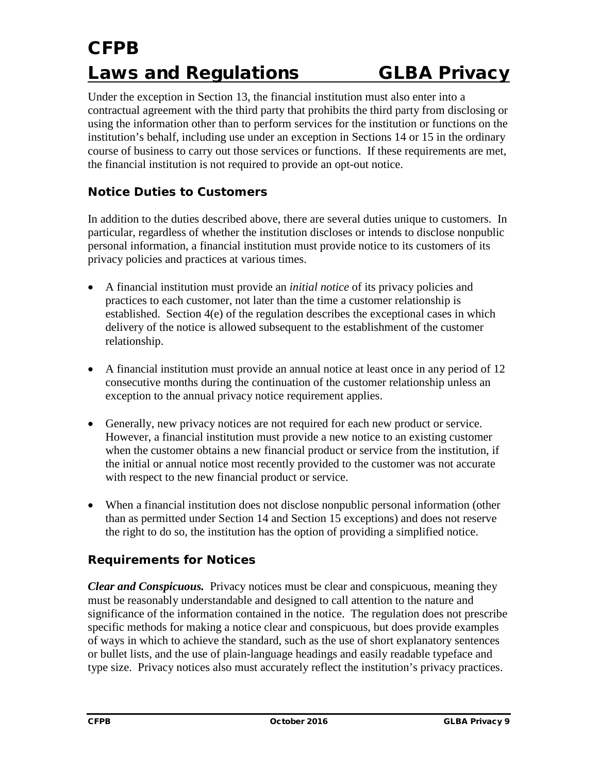Under the exception in Section 13, the financial institution must also enter into a contractual agreement with the third party that prohibits the third party from disclosing or using the information other than to perform services for the institution or functions on the institution's behalf, including use under an exception in Sections 14 or 15 in the ordinary course of business to carry out those services or functions. If these requirements are met, the financial institution is not required to provide an opt-out notice.

#### *Notice Duties to Customers*

In addition to the duties described above, there are several duties unique to customers. In particular, regardless of whether the institution discloses or intends to disclose nonpublic personal information, a financial institution must provide notice to its customers of its privacy policies and practices at various times.

- A financial institution must provide an *initial notice* of its privacy policies and practices to each customer, not later than the time a customer relationship is established. Section 4(e) of the regulation describes the exceptional cases in which delivery of the notice is allowed subsequent to the establishment of the customer relationship.
- A financial institution must provide an annual notice at least once in any period of 12 consecutive months during the continuation of the customer relationship unless an exception to the annual privacy notice requirement applies.
- Generally, new privacy notices are not required for each new product or service. However, a financial institution must provide a new notice to an existing customer when the customer obtains a new financial product or service from the institution, if the initial or annual notice most recently provided to the customer was not accurate with respect to the new financial product or service.
- When a financial institution does not disclose nonpublic personal information (other than as permitted under Section 14 and Section 15 exceptions) and does not reserve the right to do so, the institution has the option of providing a simplified notice.

#### *Requirements for Notices*

*Clear and Conspicuous.* Privacy notices must be clear and conspicuous, meaning they must be reasonably understandable and designed to call attention to the nature and significance of the information contained in the notice. The regulation does not prescribe specific methods for making a notice clear and conspicuous, but does provide examples of ways in which to achieve the standard, such as the use of short explanatory sentences or bullet lists, and the use of plain-language headings and easily readable typeface and type size. Privacy notices also must accurately reflect the institution's privacy practices.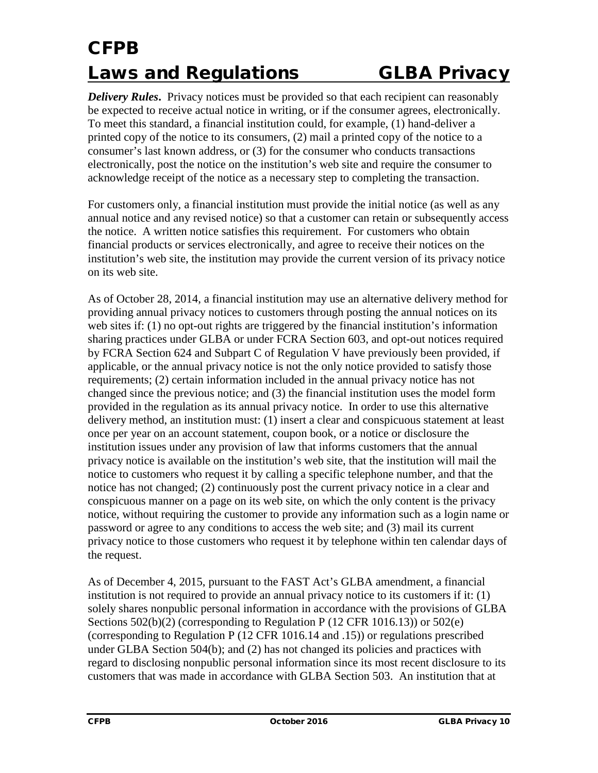*Delivery Rules*. Privacy notices must be provided so that each recipient can reasonably be expected to receive actual notice in writing, or if the consumer agrees, electronically. To meet this standard, a financial institution could, for example, (1) hand-deliver a printed copy of the notice to its consumers, (2) mail a printed copy of the notice to a consumer's last known address, or (3) for the consumer who conducts transactions electronically, post the notice on the institution's web site and require the consumer to acknowledge receipt of the notice as a necessary step to completing the transaction.

For customers only, a financial institution must provide the initial notice (as well as any annual notice and any revised notice) so that a customer can retain or subsequently access the notice. A written notice satisfies this requirement. For customers who obtain financial products or services electronically, and agree to receive their notices on the institution's web site, the institution may provide the current version of its privacy notice on its web site.

As of October 28, 2014, a financial institution may use an alternative delivery method for providing annual privacy notices to customers through posting the annual notices on its web sites if: (1) no opt-out rights are triggered by the financial institution's information sharing practices under GLBA or under FCRA Section 603, and opt-out notices required by FCRA Section 624 and Subpart C of Regulation V have previously been provided, if applicable, or the annual privacy notice is not the only notice provided to satisfy those requirements; (2) certain information included in the annual privacy notice has not changed since the previous notice; and (3) the financial institution uses the model form provided in the regulation as its annual privacy notice. In order to use this alternative delivery method, an institution must: (1) insert a clear and conspicuous statement at least once per year on an account statement, coupon book, or a notice or disclosure the institution issues under any provision of law that informs customers that the annual privacy notice is available on the institution's web site, that the institution will mail the notice to customers who request it by calling a specific telephone number, and that the notice has not changed; (2) continuously post the current privacy notice in a clear and conspicuous manner on a page on its web site, on which the only content is the privacy notice, without requiring the customer to provide any information such as a login name or password or agree to any conditions to access the web site; and (3) mail its current privacy notice to those customers who request it by telephone within ten calendar days of the request.

As of December 4, 2015, pursuant to the FAST Act's GLBA amendment, a financial institution is not required to provide an annual privacy notice to its customers if it: (1) solely shares nonpublic personal information in accordance with the provisions of GLBA Sections 502(b)(2) (corresponding to Regulation P (12 CFR 1016.13)) or 502(e) (corresponding to Regulation P (12 CFR 1016.14 and .15)) or regulations prescribed under GLBA Section 504(b); and (2) has not changed its policies and practices with regard to disclosing nonpublic personal information since its most recent disclosure to its customers that was made in accordance with GLBA Section 503. An institution that at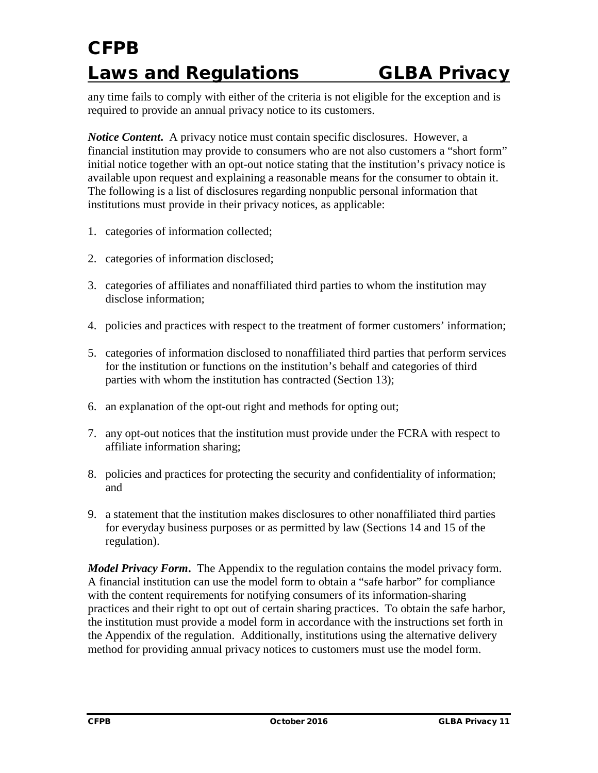any time fails to comply with either of the criteria is not eligible for the exception and is required to provide an annual privacy notice to its customers.

*Notice Content***.** A privacy notice must contain specific disclosures. However, a financial institution may provide to consumers who are not also customers a "short form" initial notice together with an opt-out notice stating that the institution's privacy notice is available upon request and explaining a reasonable means for the consumer to obtain it. The following is a list of disclosures regarding nonpublic personal information that institutions must provide in their privacy notices, as applicable:

- 1. categories of information collected;
- 2. categories of information disclosed;
- 3. categories of affiliates and nonaffiliated third parties to whom the institution may disclose information;
- 4. policies and practices with respect to the treatment of former customers' information;
- 5. categories of information disclosed to nonaffiliated third parties that perform services for the institution or functions on the institution's behalf and categories of third parties with whom the institution has contracted (Section 13);
- 6. an explanation of the opt-out right and methods for opting out;
- 7. any opt-out notices that the institution must provide under the FCRA with respect to affiliate information sharing;
- 8. policies and practices for protecting the security and confidentiality of information; and
- 9. a statement that the institution makes disclosures to other nonaffiliated third parties for everyday business purposes or as permitted by law (Sections 14 and 15 of the regulation).

*Model Privacy Form***.** The Appendix to the regulation contains the model privacy form. A financial institution can use the model form to obtain a "safe harbor" for compliance with the content requirements for notifying consumers of its information-sharing practices and their right to opt out of certain sharing practices. To obtain the safe harbor, the institution must provide a model form in accordance with the instructions set forth in the Appendix of the regulation. Additionally, institutions using the alternative delivery method for providing annual privacy notices to customers must use the model form.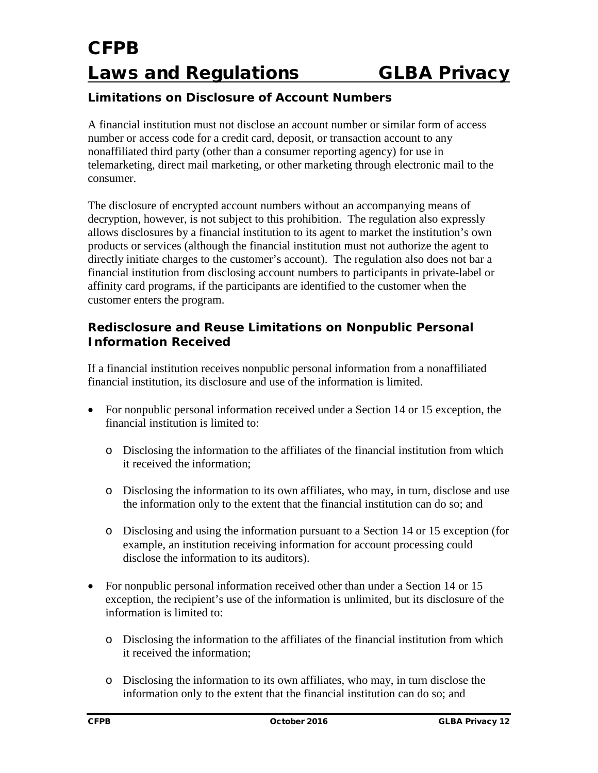#### *Limitations on Disclosure of Account Numbers*

A financial institution must not disclose an account number or similar form of access number or access code for a credit card, deposit, or transaction account to any nonaffiliated third party (other than a consumer reporting agency) for use in telemarketing, direct mail marketing, or other marketing through electronic mail to the consumer.

The disclosure of encrypted account numbers without an accompanying means of decryption, however, is not subject to this prohibition. The regulation also expressly allows disclosures by a financial institution to its agent to market the institution's own products or services (although the financial institution must not authorize the agent to directly initiate charges to the customer's account). The regulation also does not bar a financial institution from disclosing account numbers to participants in private-label or affinity card programs, if the participants are identified to the customer when the customer enters the program.

#### *Redisclosure and Reuse Limitations on Nonpublic Personal Information Received*

If a financial institution receives nonpublic personal information from a nonaffiliated financial institution, its disclosure and use of the information is limited.

- For nonpublic personal information received under a Section 14 or 15 exception, the financial institution is limited to:
	- o Disclosing the information to the affiliates of the financial institution from which it received the information;
	- o Disclosing the information to its own affiliates, who may, in turn, disclose and use the information only to the extent that the financial institution can do so; and
	- o Disclosing and using the information pursuant to a Section 14 or 15 exception (for example, an institution receiving information for account processing could disclose the information to its auditors).
- For nonpublic personal information received other than under a Section 14 or 15 exception, the recipient's use of the information is unlimited, but its disclosure of the information is limited to:
	- o Disclosing the information to the affiliates of the financial institution from which it received the information;
	- o Disclosing the information to its own affiliates, who may, in turn disclose the information only to the extent that the financial institution can do so; and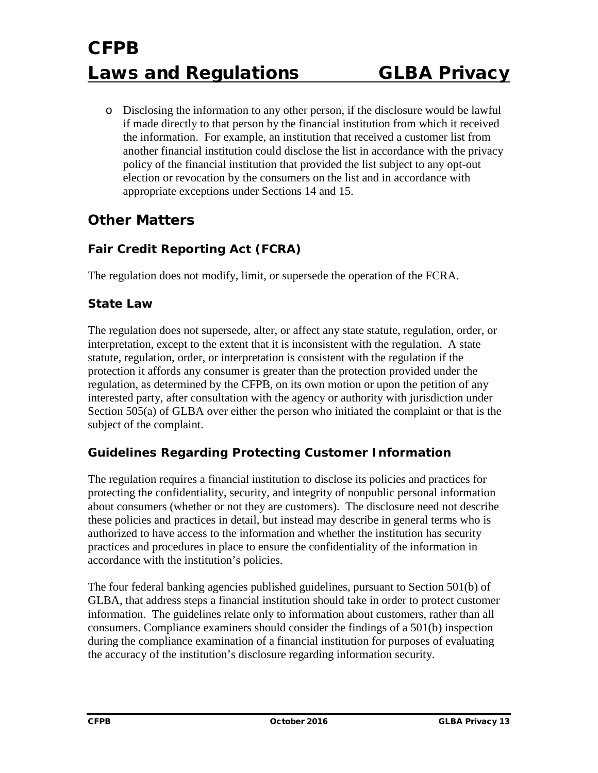o Disclosing the information to any other person, if the disclosure would be lawful if made directly to that person by the financial institution from which it received the information. For example, an institution that received a customer list from another financial institution could disclose the list in accordance with the privacy policy of the financial institution that provided the list subject to any opt-out election or revocation by the consumers on the list and in accordance with appropriate exceptions under Sections 14 and 15.

### **Other Matters**

#### *Fair Credit Reporting Act (FCRA)*

The regulation does not modify, limit, or supersede the operation of the FCRA.

#### *State Law*

The regulation does not supersede, alter, or affect any state statute, regulation, order, or interpretation, except to the extent that it is inconsistent with the regulation. A state statute, regulation, order, or interpretation is consistent with the regulation if the protection it affords any consumer is greater than the protection provided under the regulation, as determined by the CFPB, on its own motion or upon the petition of any interested party, after consultation with the agency or authority with jurisdiction under Section 505(a) of GLBA over either the person who initiated the complaint or that is the subject of the complaint.

#### *Guidelines Regarding Protecting Customer Information*

The regulation requires a financial institution to disclose its policies and practices for protecting the confidentiality, security, and integrity of nonpublic personal information about consumers (whether or not they are customers). The disclosure need not describe these policies and practices in detail, but instead may describe in general terms who is authorized to have access to the information and whether the institution has security practices and procedures in place to ensure the confidentiality of the information in accordance with the institution's policies.

The four federal banking agencies published guidelines, pursuant to Section 501(b) of GLBA, that address steps a financial institution should take in order to protect customer information. The guidelines relate only to information about customers, rather than all consumers. Compliance examiners should consider the findings of a 501(b) inspection during the compliance examination of a financial institution for purposes of evaluating the accuracy of the institution's disclosure regarding information security.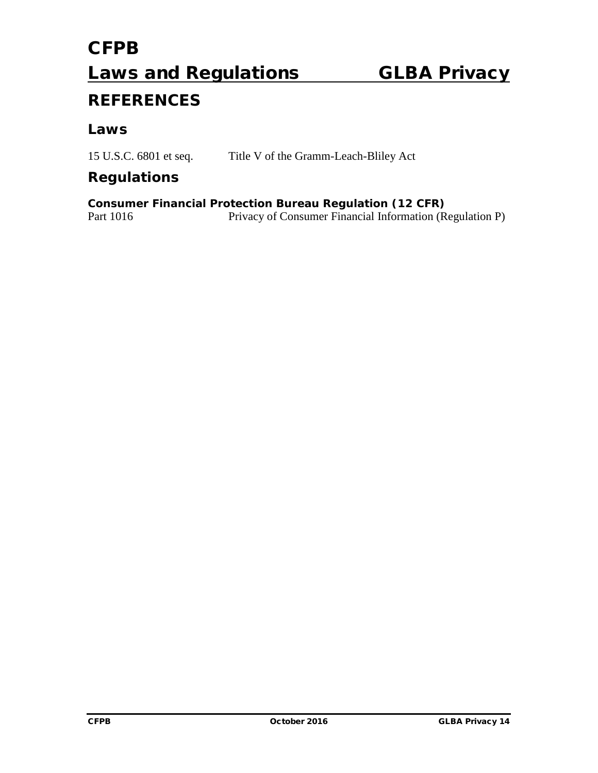### **REFERENCES**

#### *Laws*

15 U.S.C. 6801 et seq. Title V of the Gramm-Leach-Bliley Act

#### *Regulations*

**Consumer Financial Protection Bureau Regulation (12 CFR)**<br>Part 1016 Privacy of Consumer Financial Information (R Privacy of Consumer Financial Information (Regulation P)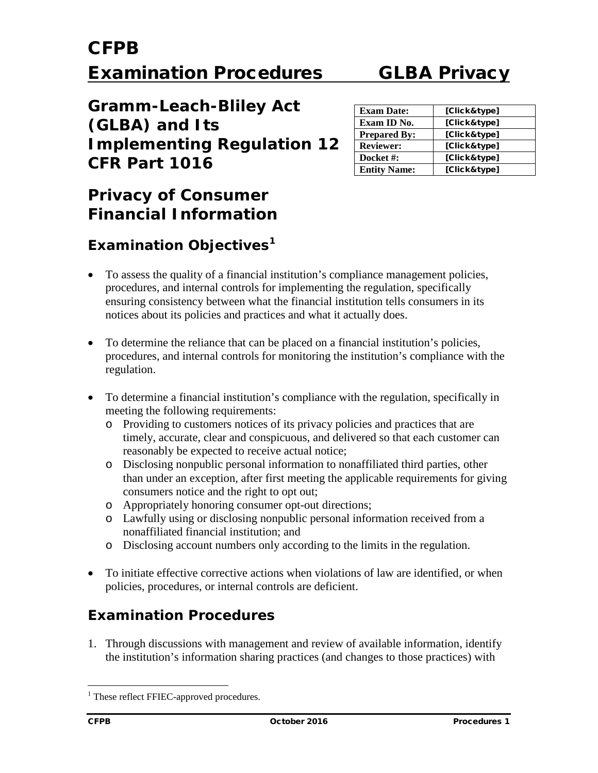**Gramm-Leach-Bliley Act (GLBA) and Its Implementing Regulation 12 CFR Part 1016**

| <b>Exam Date:</b>   | [Click&type] |
|---------------------|--------------|
| Exam ID No.         | [Click&type] |
| <b>Prepared By:</b> | [Click&type] |
| <b>Reviewer:</b>    | [Click&type] |
| Docket #:           | [Click&type] |
| <b>Entity Name:</b> | [Click&type] |

### **Privacy of Consumer Financial Information**

### **Examination Objectives[1](#page-14-0)**

- To assess the quality of a financial institution's compliance management policies, procedures, and internal controls for implementing the regulation, specifically ensuring consistency between what the financial institution tells consumers in its notices about its policies and practices and what it actually does.
- To determine the reliance that can be placed on a financial institution's policies, procedures, and internal controls for monitoring the institution's compliance with the regulation.
- To determine a financial institution's compliance with the regulation, specifically in meeting the following requirements:
	- o Providing to customers notices of its privacy policies and practices that are timely, accurate, clear and conspicuous, and delivered so that each customer can reasonably be expected to receive actual notice;
	- o Disclosing nonpublic personal information to nonaffiliated third parties, other than under an exception, after first meeting the applicable requirements for giving consumers notice and the right to opt out;
	- o Appropriately honoring consumer opt-out directions;
	- o Lawfully using or disclosing nonpublic personal information received from a nonaffiliated financial institution; and
	- o Disclosing account numbers only according to the limits in the regulation.
- To initiate effective corrective actions when violations of law are identified, or when policies, procedures, or internal controls are deficient.

### **Examination Procedures**

1. Through discussions with management and review of available information, identify the institution's information sharing practices (and changes to those practices) with

<span id="page-14-0"></span><sup>&</sup>lt;sup>1</sup> These reflect FFIEC-approved procedures.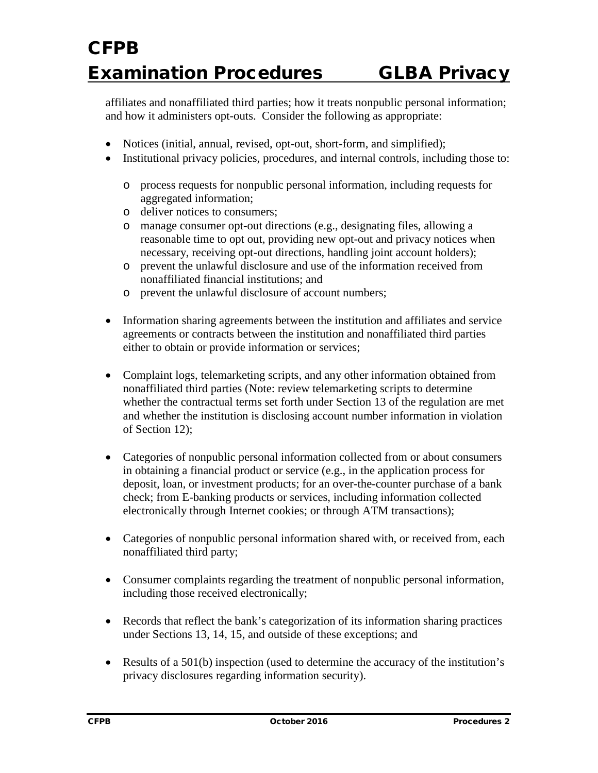affiliates and nonaffiliated third parties; how it treats nonpublic personal information; and how it administers opt-outs. Consider the following as appropriate:

- Notices (initial, annual, revised, opt-out, short-form, and simplified);
- Institutional privacy policies, procedures, and internal controls, including those to:
	- o process requests for nonpublic personal information, including requests for aggregated information;
	- o deliver notices to consumers;
	- o manage consumer opt-out directions (e.g., designating files, allowing a reasonable time to opt out, providing new opt-out and privacy notices when necessary, receiving opt-out directions, handling joint account holders);
	- o prevent the unlawful disclosure and use of the information received from nonaffiliated financial institutions; and
	- o prevent the unlawful disclosure of account numbers;
- Information sharing agreements between the institution and affiliates and service agreements or contracts between the institution and nonaffiliated third parties either to obtain or provide information or services;
- Complaint logs, telemarketing scripts, and any other information obtained from nonaffiliated third parties (Note: review telemarketing scripts to determine whether the contractual terms set forth under Section 13 of the regulation are met and whether the institution is disclosing account number information in violation of Section 12);
- Categories of nonpublic personal information collected from or about consumers in obtaining a financial product or service (e.g., in the application process for deposit, loan, or investment products; for an over-the-counter purchase of a bank check; from E-banking products or services, including information collected electronically through Internet cookies; or through ATM transactions);
- Categories of nonpublic personal information shared with, or received from, each nonaffiliated third party;
- Consumer complaints regarding the treatment of nonpublic personal information, including those received electronically;
- Records that reflect the bank's categorization of its information sharing practices under Sections 13, 14, 15, and outside of these exceptions; and
- Results of a 501(b) inspection (used to determine the accuracy of the institution's privacy disclosures regarding information security).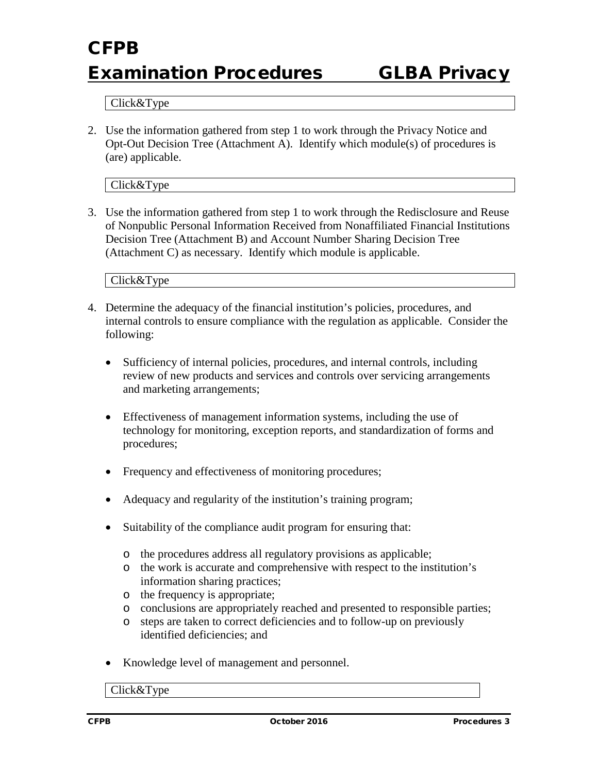#### Click&Type

2. Use the information gathered from step 1 to work through the Privacy Notice and Opt-Out Decision Tree (Attachment A). Identify which module(s) of procedures is (are) applicable.

Click&Type

3. Use the information gathered from step 1 to work through the Redisclosure and Reuse of Nonpublic Personal Information Received from Nonaffiliated Financial Institutions Decision Tree (Attachment B) and Account Number Sharing Decision Tree (Attachment C) as necessary. Identify which module is applicable.

Click&Type

- 4. Determine the adequacy of the financial institution's policies, procedures, and internal controls to ensure compliance with the regulation as applicable. Consider the following:
	- Sufficiency of internal policies, procedures, and internal controls, including review of new products and services and controls over servicing arrangements and marketing arrangements;
	- Effectiveness of management information systems, including the use of technology for monitoring, exception reports, and standardization of forms and procedures;
	- Frequency and effectiveness of monitoring procedures;
	- Adequacy and regularity of the institution's training program;
	- Suitability of the compliance audit program for ensuring that:
		- o the procedures address all regulatory provisions as applicable;
		- o the work is accurate and comprehensive with respect to the institution's information sharing practices;
		- o the frequency is appropriate;
		- o conclusions are appropriately reached and presented to responsible parties;
		- o steps are taken to correct deficiencies and to follow-up on previously identified deficiencies; and
	- Knowledge level of management and personnel.

Click&Type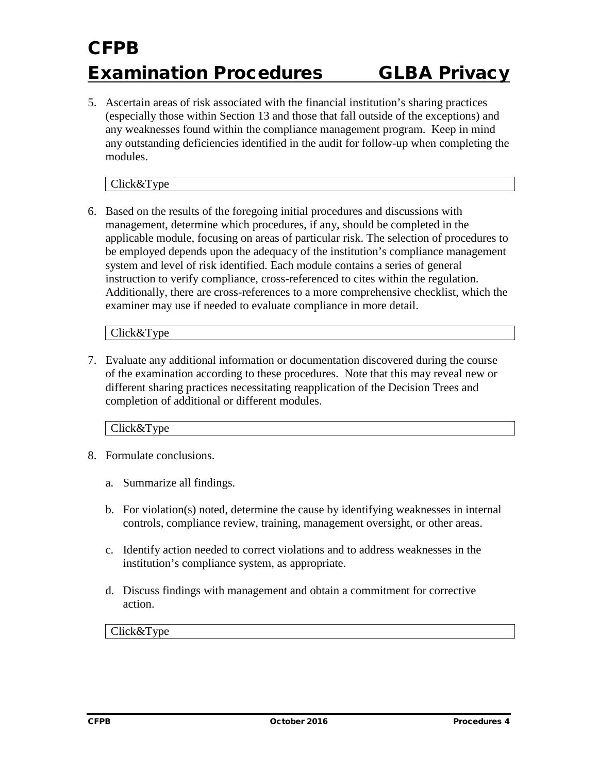5. Ascertain areas of risk associated with the financial institution's sharing practices (especially those within Section 13 and those that fall outside of the exceptions) and any weaknesses found within the compliance management program. Keep in mind any outstanding deficiencies identified in the audit for follow-up when completing the modules.

Click&Type

6. Based on the results of the foregoing initial procedures and discussions with management, determine which procedures, if any, should be completed in the applicable module, focusing on areas of particular risk. The selection of procedures to be employed depends upon the adequacy of the institution's compliance management system and level of risk identified. Each module contains a series of general instruction to verify compliance, cross-referenced to cites within the regulation. Additionally, there are cross-references to a more comprehensive checklist, which the examiner may use if needed to evaluate compliance in more detail.

Click&Type

7. Evaluate any additional information or documentation discovered during the course of the examination according to these procedures. Note that this may reveal new or different sharing practices necessitating reapplication of the Decision Trees and completion of additional or different modules.

Click&Type

- 8. Formulate conclusions.
	- a. Summarize all findings.
	- b. For violation(s) noted, determine the cause by identifying weaknesses in internal controls, compliance review, training, management oversight, or other areas.
	- c. Identify action needed to correct violations and to address weaknesses in the institution's compliance system, as appropriate.
	- d. Discuss findings with management and obtain a commitment for corrective action.

Click&Type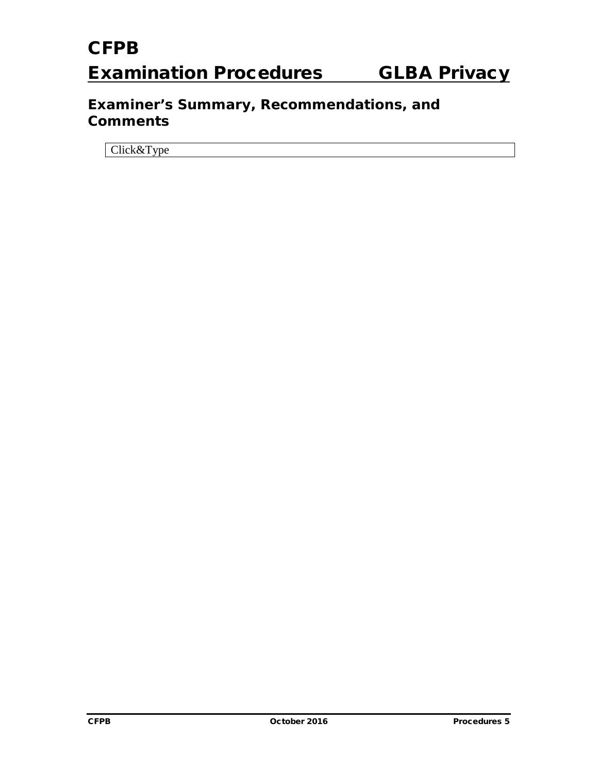### **Examiner's Summary, Recommendations, and Comments**

Click&Type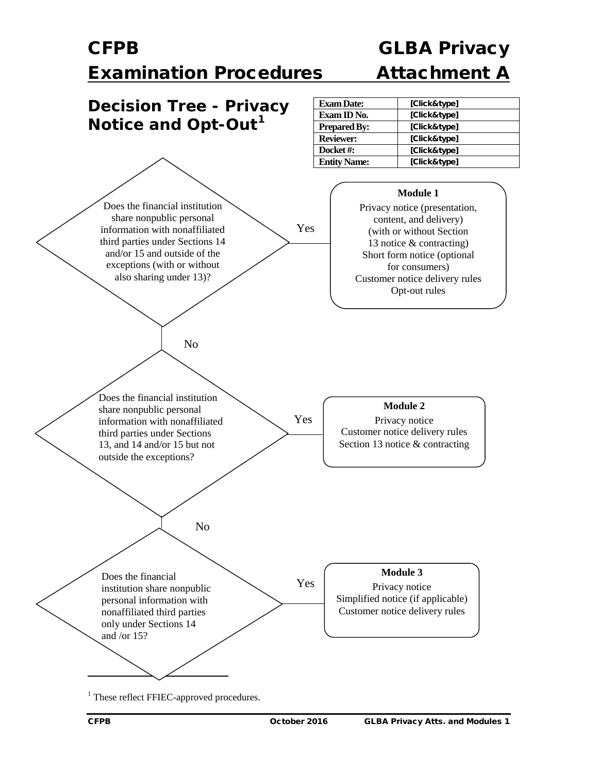### CFPB GLBA Privacy Examination Procedures Attachment A

<span id="page-19-0"></span>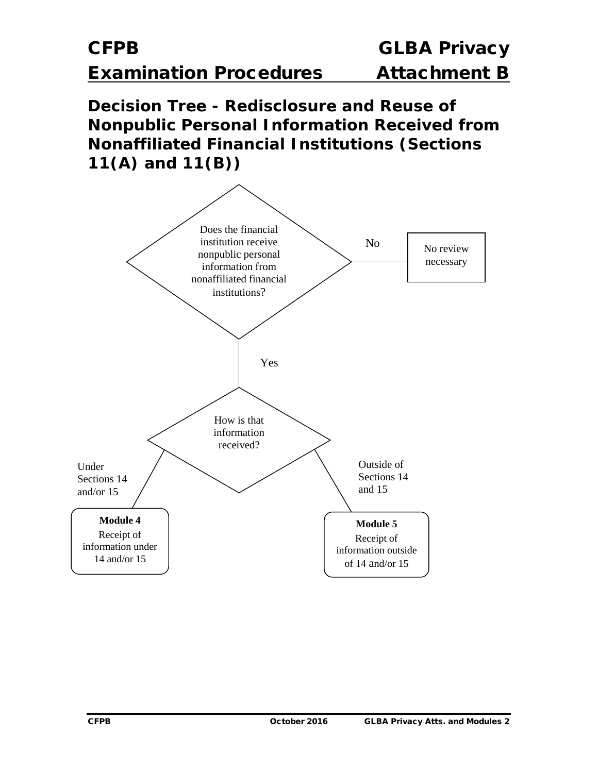**Decision Tree - Redisclosure and Reuse of Nonpublic Personal Information Received from Nonaffiliated Financial Institutions (Sections 11(A) and 11(B))**

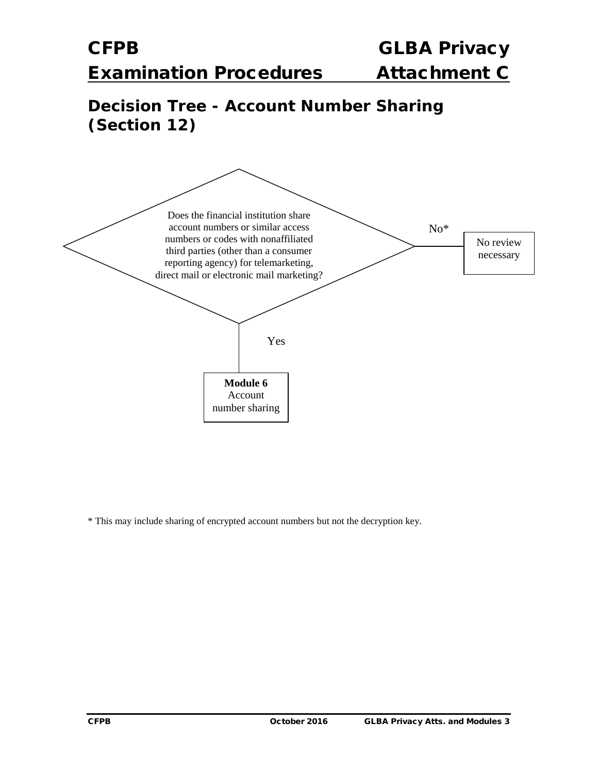### **Decision Tree - Account Number Sharing (Section 12)**



\* This may include sharing of encrypted account numbers but not the decryption key.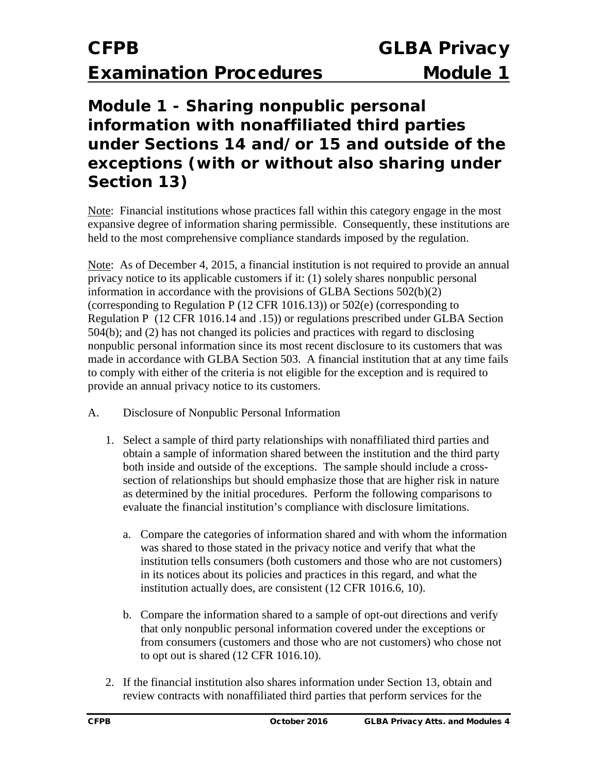### **Module 1 - Sharing nonpublic personal information with nonaffiliated third parties under Sections 14 and/or 15 and outside of the exceptions (with or without also sharing under Section 13)**

Note: Financial institutions whose practices fall within this category engage in the most expansive degree of information sharing permissible. Consequently, these institutions are held to the most comprehensive compliance standards imposed by the regulation.

Note: As of December 4, 2015, a financial institution is not required to provide an annual privacy notice to its applicable customers if it: (1) solely shares nonpublic personal information in accordance with the provisions of GLBA Sections 502(b)(2) (corresponding to Regulation P (12 CFR 1016.13)) or 502(e) (corresponding to Regulation P (12 CFR 1016.14 and .15)) or regulations prescribed under GLBA Section 504(b); and (2) has not changed its policies and practices with regard to disclosing nonpublic personal information since its most recent disclosure to its customers that was made in accordance with GLBA Section 503. A financial institution that at any time fails to comply with either of the criteria is not eligible for the exception and is required to provide an annual privacy notice to its customers.

- A. Disclosure of Nonpublic Personal Information
	- 1. Select a sample of third party relationships with nonaffiliated third parties and obtain a sample of information shared between the institution and the third party both inside and outside of the exceptions. The sample should include a crosssection of relationships but should emphasize those that are higher risk in nature as determined by the initial procedures. Perform the following comparisons to evaluate the financial institution's compliance with disclosure limitations.
		- a. Compare the categories of information shared and with whom the information was shared to those stated in the privacy notice and verify that what the institution tells consumers (both customers and those who are not customers) in its notices about its policies and practices in this regard, and what the institution actually does, are consistent (12 CFR 1016.6, 10).
		- b. Compare the information shared to a sample of opt-out directions and verify that only nonpublic personal information covered under the exceptions or from consumers (customers and those who are not customers) who chose not to opt out is shared (12 CFR 1016.10).
	- 2. If the financial institution also shares information under Section 13, obtain and review contracts with nonaffiliated third parties that perform services for the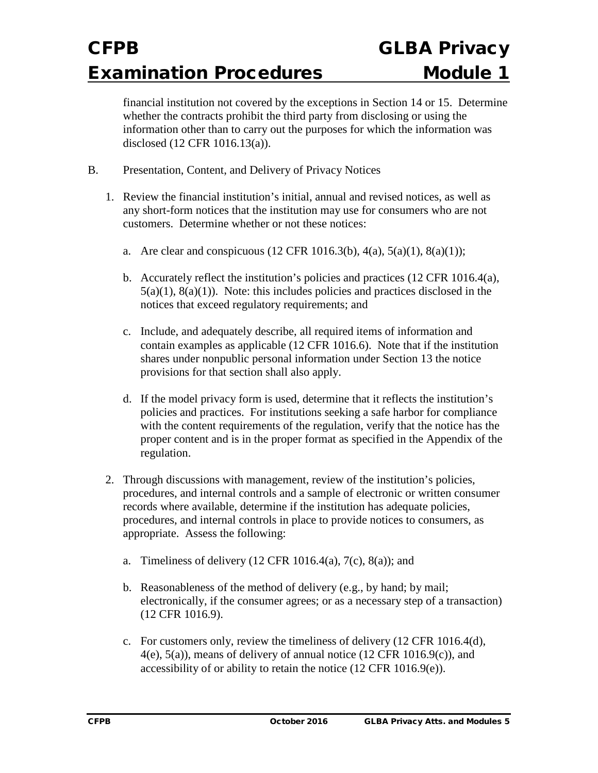financial institution not covered by the exceptions in Section 14 or 15. Determine whether the contracts prohibit the third party from disclosing or using the information other than to carry out the purposes for which the information was disclosed (12 CFR 1016.13(a)).

- B. Presentation, Content, and Delivery of Privacy Notices
	- 1. Review the financial institution's initial, annual and revised notices, as well as any short-form notices that the institution may use for consumers who are not customers. Determine whether or not these notices:
		- a. Are clear and conspicuous  $(12 \text{ CFR } 1016.3(b), 4(a), 5(a)(1), 8(a)(1));$
		- b. Accurately reflect the institution's policies and practices  $(12 \text{ CFR } 1016.4(a))$ ,  $5(a)(1)$ ,  $8(a)(1)$ ). Note: this includes policies and practices disclosed in the notices that exceed regulatory requirements; and
		- c. Include, and adequately describe, all required items of information and contain examples as applicable (12 CFR 1016.6). Note that if the institution shares under nonpublic personal information under Section 13 the notice provisions for that section shall also apply.
		- d. If the model privacy form is used, determine that it reflects the institution's policies and practices. For institutions seeking a safe harbor for compliance with the content requirements of the regulation, verify that the notice has the proper content and is in the proper format as specified in the Appendix of the regulation.
	- 2. Through discussions with management, review of the institution's policies, procedures, and internal controls and a sample of electronic or written consumer records where available, determine if the institution has adequate policies, procedures, and internal controls in place to provide notices to consumers, as appropriate. Assess the following:
		- a. Timeliness of delivery  $(12 \text{ CFR } 1016.4(a), 7(c), 8(a))$ ; and
		- b. Reasonableness of the method of delivery (e.g., by hand; by mail; electronically, if the consumer agrees; or as a necessary step of a transaction) (12 CFR 1016.9).
		- c. For customers only, review the timeliness of delivery (12 CFR 1016.4(d),  $4(e)$ ,  $5(a)$ ), means of delivery of annual notice (12 CFR 1016.9(c)), and accessibility of or ability to retain the notice (12 CFR 1016.9(e)).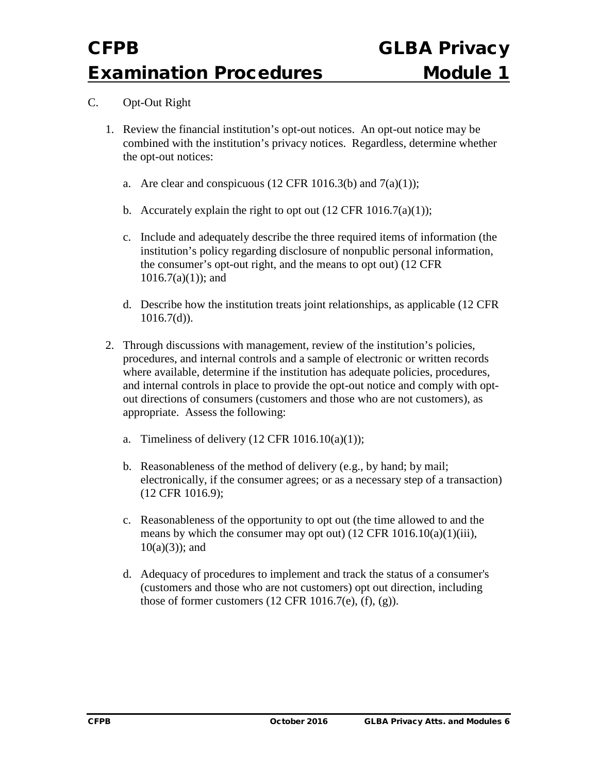#### C. Opt-Out Right

- 1. Review the financial institution's opt-out notices. An opt-out notice may be combined with the institution's privacy notices. Regardless, determine whether the opt-out notices:
	- a. Are clear and conspicuous (12 CFR 1016.3(b) and  $7(a)(1)$ ;
	- b. Accurately explain the right to opt out  $(12 \text{ CFR } 1016.7(a)(1));$
	- c. Include and adequately describe the three required items of information (the institution's policy regarding disclosure of nonpublic personal information, the consumer's opt-out right, and the means to opt out) (12 CFR  $1016.7(a)(1)$ ; and
	- d. Describe how the institution treats joint relationships, as applicable (12 CFR  $1016.7(d)$ ).
- 2. Through discussions with management, review of the institution's policies, procedures, and internal controls and a sample of electronic or written records where available, determine if the institution has adequate policies, procedures, and internal controls in place to provide the opt-out notice and comply with optout directions of consumers (customers and those who are not customers), as appropriate. Assess the following:
	- a. Timeliness of delivery  $(12 \text{ CFR } 1016.10(a)(1));$
	- b. Reasonableness of the method of delivery (e.g., by hand; by mail; electronically, if the consumer agrees; or as a necessary step of a transaction) (12 CFR 1016.9);
	- c. Reasonableness of the opportunity to opt out (the time allowed to and the means by which the consumer may opt out)  $(12 \text{ CFR } 1016.10(a)(1)(iii))$ ,  $10(a)(3)$ ; and
	- d. Adequacy of procedures to implement and track the status of a consumer's (customers and those who are not customers) opt out direction, including those of former customers  $(12 \text{ CFR } 1016.7\text{(e)}), (f), (g)$ ).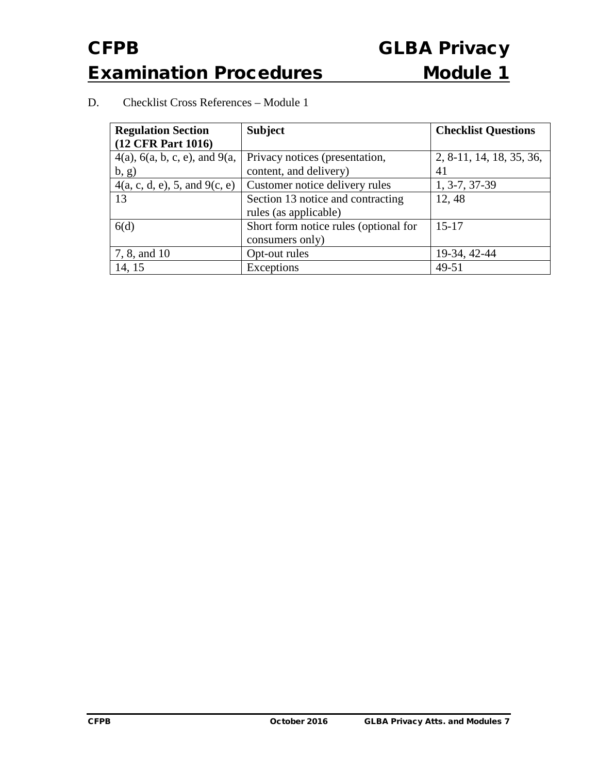#### D. Checklist Cross References – Module 1

| <b>Regulation Section</b><br>(12 CFR Part 1016)  | <b>Subject</b>                        | <b>Checklist Questions</b> |
|--------------------------------------------------|---------------------------------------|----------------------------|
| $4(a)$ , 6 $(a, b, c, e)$ , and 9 $(a, b, c, e)$ | Privacy notices (presentation,        | 2, 8-11, 14, 18, 35, 36,   |
| (b, g)                                           | content, and delivery)                | 41                         |
| 4(a, c, d, e), 5, and 9(c, e)                    | Customer notice delivery rules        | 1, 3-7, 37-39              |
| 13                                               | Section 13 notice and contracting     | 12,48                      |
|                                                  | rules (as applicable)                 |                            |
| 6(d)                                             | Short form notice rules (optional for | $15 - 17$                  |
|                                                  | consumers only)                       |                            |
| 7, 8, and 10                                     | Opt-out rules                         | 19-34, 42-44               |
| 14, 15                                           | Exceptions                            | 49-51                      |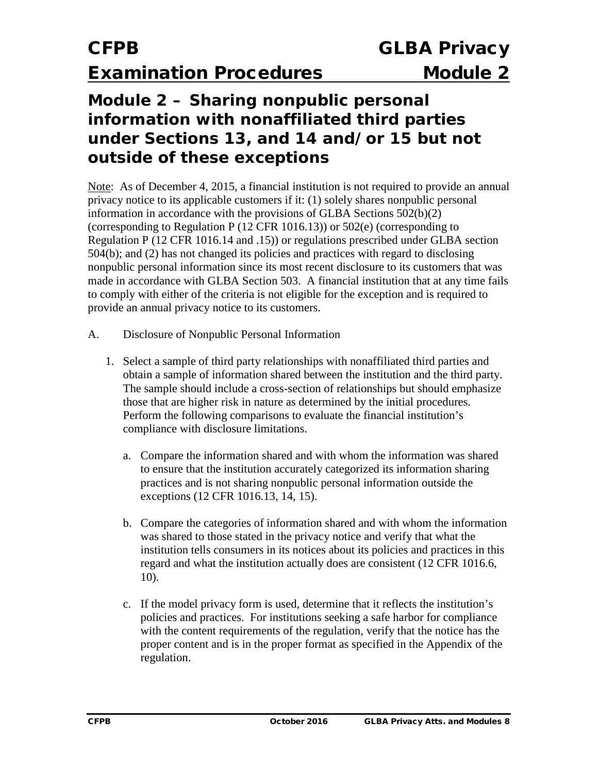### **Module 2 – Sharing nonpublic personal information with nonaffiliated third parties under Sections 13, and 14 and/or 15 but not outside of these exceptions**

Note: As of December 4, 2015, a financial institution is not required to provide an annual privacy notice to its applicable customers if it: (1) solely shares nonpublic personal information in accordance with the provisions of GLBA Sections 502(b)(2) (corresponding to Regulation P (12 CFR 1016.13)) or 502(e) (corresponding to Regulation P (12 CFR 1016.14 and .15)) or regulations prescribed under GLBA section 504(b); and (2) has not changed its policies and practices with regard to disclosing nonpublic personal information since its most recent disclosure to its customers that was made in accordance with GLBA Section 503. A financial institution that at any time fails to comply with either of the criteria is not eligible for the exception and is required to provide an annual privacy notice to its customers.

- A. Disclosure of Nonpublic Personal Information
	- 1. Select a sample of third party relationships with nonaffiliated third parties and obtain a sample of information shared between the institution and the third party. The sample should include a cross-section of relationships but should emphasize those that are higher risk in nature as determined by the initial procedures. Perform the following comparisons to evaluate the financial institution's compliance with disclosure limitations.
		- a. Compare the information shared and with whom the information was shared to ensure that the institution accurately categorized its information sharing practices and is not sharing nonpublic personal information outside the exceptions (12 CFR 1016.13, 14, 15).
		- b. Compare the categories of information shared and with whom the information was shared to those stated in the privacy notice and verify that what the institution tells consumers in its notices about its policies and practices in this regard and what the institution actually does are consistent (12 CFR 1016.6, 10).
		- c. If the model privacy form is used, determine that it reflects the institution's policies and practices. For institutions seeking a safe harbor for compliance with the content requirements of the regulation, verify that the notice has the proper content and is in the proper format as specified in the Appendix of the regulation.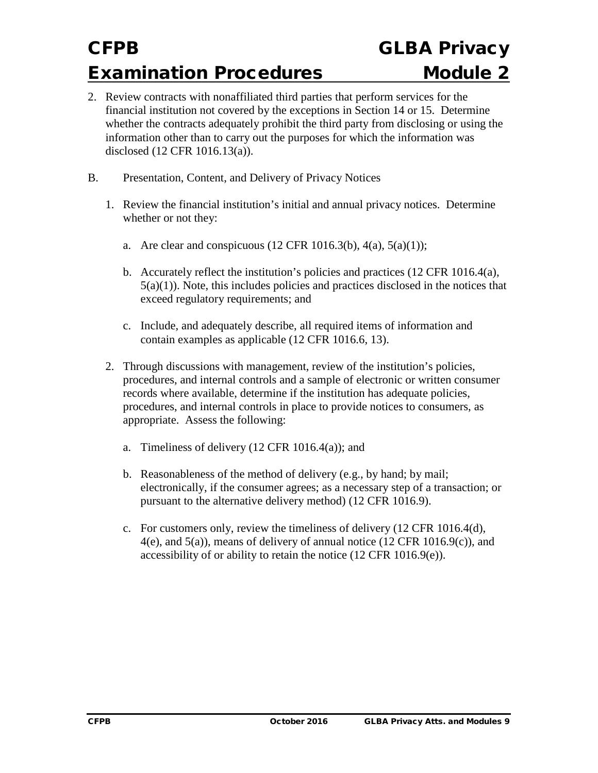- 2. Review contracts with nonaffiliated third parties that perform services for the financial institution not covered by the exceptions in Section 14 or 15. Determine whether the contracts adequately prohibit the third party from disclosing or using the information other than to carry out the purposes for which the information was disclosed (12 CFR 1016.13(a)).
- B. Presentation, Content, and Delivery of Privacy Notices
	- 1. Review the financial institution's initial and annual privacy notices. Determine whether or not they:
		- a. Are clear and conspicuous  $(12 \text{ CFR } 1016.3(b), 4(a), 5(a)(1));$
		- b. Accurately reflect the institution's policies and practices  $(12 \text{ CFR } 1016.4(a))$ ,  $5(a)(1)$ ). Note, this includes policies and practices disclosed in the notices that exceed regulatory requirements; and
		- c. Include, and adequately describe, all required items of information and contain examples as applicable (12 CFR 1016.6, 13).
	- 2. Through discussions with management, review of the institution's policies, procedures, and internal controls and a sample of electronic or written consumer records where available, determine if the institution has adequate policies, procedures, and internal controls in place to provide notices to consumers, as appropriate. Assess the following:
		- a. Timeliness of delivery  $(12 \text{ CFR } 1016.4(a))$ ; and
		- b. Reasonableness of the method of delivery (e.g., by hand; by mail; electronically, if the consumer agrees; as a necessary step of a transaction; or pursuant to the alternative delivery method) (12 CFR 1016.9).
		- c. For customers only, review the timeliness of delivery (12 CFR 1016.4(d),  $4(e)$ , and  $5(a)$ ), means of delivery of annual notice (12 CFR 1016.9(c)), and accessibility of or ability to retain the notice (12 CFR 1016.9(e)).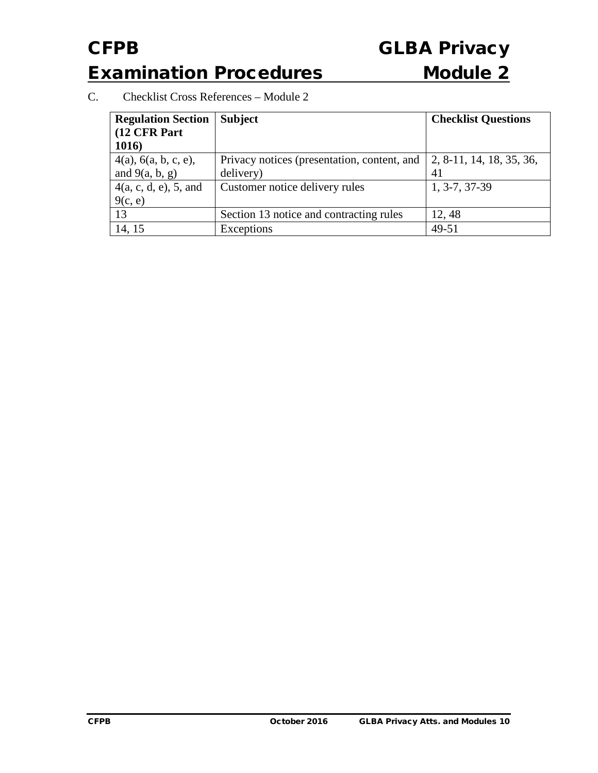C. Checklist Cross References – Module 2

| <b>Regulation Section</b><br>(12 CFR Part<br>1016) | <b>Subject</b>                                           | <b>Checklist Questions</b>     |
|----------------------------------------------------|----------------------------------------------------------|--------------------------------|
| $4(a)$ , $6(a, b, c, e)$ ,<br>and $9(a, b, g)$     | Privacy notices (presentation, content, and<br>delivery) | 2, 8-11, 14, 18, 35, 36,<br>41 |
| 4(a, c, d, e), 5, and<br>9(c, e)                   | Customer notice delivery rules                           | 1, 3-7, 37-39                  |
| 13                                                 | Section 13 notice and contracting rules                  | 12, 48                         |
| 14, 15                                             | Exceptions                                               | 49-51                          |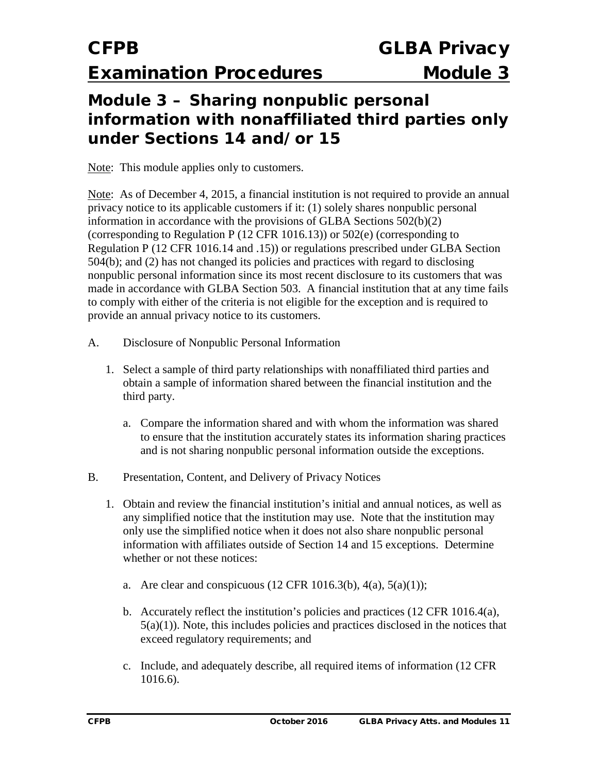### **Module 3 – Sharing nonpublic personal information with nonaffiliated third parties only under Sections 14 and/or 15**

Note: This module applies only to customers.

Note: As of December 4, 2015, a financial institution is not required to provide an annual privacy notice to its applicable customers if it: (1) solely shares nonpublic personal information in accordance with the provisions of GLBA Sections 502(b)(2) (corresponding to Regulation P (12 CFR 1016.13)) or 502(e) (corresponding to Regulation P (12 CFR 1016.14 and .15)) or regulations prescribed under GLBA Section 504(b); and (2) has not changed its policies and practices with regard to disclosing nonpublic personal information since its most recent disclosure to its customers that was made in accordance with GLBA Section 503. A financial institution that at any time fails to comply with either of the criteria is not eligible for the exception and is required to provide an annual privacy notice to its customers.

- A. Disclosure of Nonpublic Personal Information
	- 1. Select a sample of third party relationships with nonaffiliated third parties and obtain a sample of information shared between the financial institution and the third party.
		- a. Compare the information shared and with whom the information was shared to ensure that the institution accurately states its information sharing practices and is not sharing nonpublic personal information outside the exceptions.
- B. Presentation, Content, and Delivery of Privacy Notices
	- 1. Obtain and review the financial institution's initial and annual notices, as well as any simplified notice that the institution may use. Note that the institution may only use the simplified notice when it does not also share nonpublic personal information with affiliates outside of Section 14 and 15 exceptions. Determine whether or not these notices:
		- a. Are clear and conspicuous  $(12 \text{ CFR } 1016.3(b), 4(a), 5(a)(1));$
		- b. Accurately reflect the institution's policies and practices (12 CFR 1016.4(a),  $5(a)(1)$ ). Note, this includes policies and practices disclosed in the notices that exceed regulatory requirements; and
		- c. Include, and adequately describe, all required items of information (12 CFR 1016.6).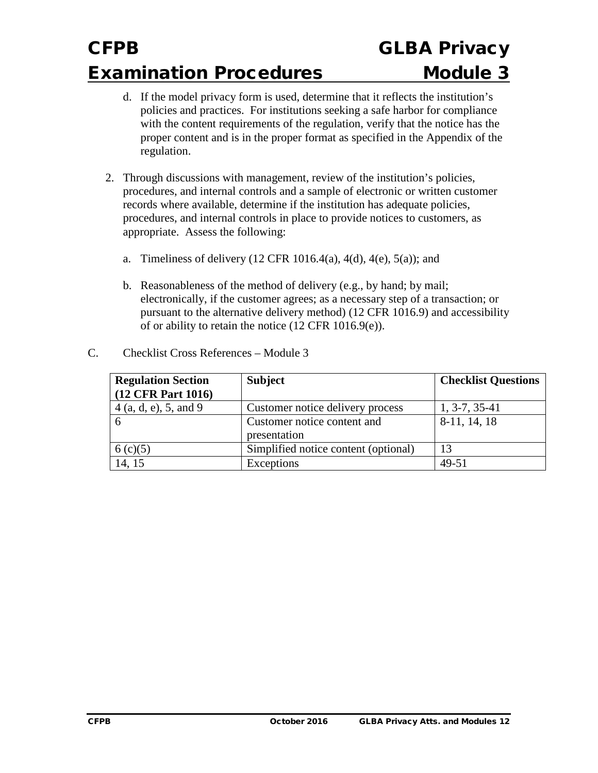- d. If the model privacy form is used, determine that it reflects the institution's policies and practices. For institutions seeking a safe harbor for compliance with the content requirements of the regulation, verify that the notice has the proper content and is in the proper format as specified in the Appendix of the regulation.
- 2. Through discussions with management, review of the institution's policies, procedures, and internal controls and a sample of electronic or written customer records where available, determine if the institution has adequate policies, procedures, and internal controls in place to provide notices to customers, as appropriate. Assess the following:
	- a. Timeliness of delivery  $(12 \text{ CFR } 1016.4(a), 4(d), 4(e), 5(a))$ ; and
	- b. Reasonableness of the method of delivery (e.g., by hand; by mail; electronically, if the customer agrees; as a necessary step of a transaction; or pursuant to the alternative delivery method) (12 CFR 1016.9) and accessibility of or ability to retain the notice (12 CFR 1016.9(e)).

| <b>Regulation Section</b> | <b>Subject</b>                       | <b>Checklist Questions</b> |
|---------------------------|--------------------------------------|----------------------------|
| (12 CFR Part 1016)        |                                      |                            |
| 4(a, d, e), 5, and 9      | Customer notice delivery process     | $1, 3-7, 35-41$            |
|                           | Customer notice content and          | 8-11, 14, 18               |
|                           | presentation                         |                            |
| 6(c)(5)                   | Simplified notice content (optional) | 13                         |
| 14, 15                    | Exceptions                           | $49 - 51$                  |

C. Checklist Cross References – Module 3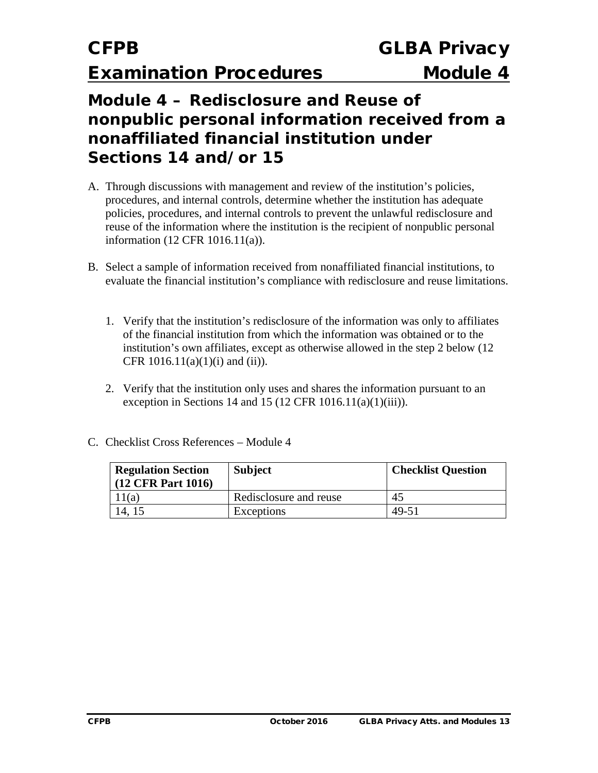### **Module 4 – Redisclosure and Reuse of nonpublic personal information received from a nonaffiliated financial institution under Sections 14 and/or 15**

- A. Through discussions with management and review of the institution's policies, procedures, and internal controls, determine whether the institution has adequate policies, procedures, and internal controls to prevent the unlawful redisclosure and reuse of the information where the institution is the recipient of nonpublic personal information (12 CFR 1016.11(a)).
- B. Select a sample of information received from nonaffiliated financial institutions, to evaluate the financial institution's compliance with redisclosure and reuse limitations.
	- 1. Verify that the institution's redisclosure of the information was only to affiliates of the financial institution from which the information was obtained or to the institution's own affiliates, except as otherwise allowed in the step 2 below (12 CFR  $1016.11(a)(1)(i)$  and  $(ii)$ ).
	- 2. Verify that the institution only uses and shares the information pursuant to an exception in Sections 14 and 15 (12 CFR 1016.11(a)(1)(iii)).

|  | C. Checklist Cross References – Module 4 |  |
|--|------------------------------------------|--|
|  |                                          |  |

| <b>Regulation Section</b><br>$(12 \text{ CFR Part } 1016)$ | <b>Subject</b>         | <b>Checklist Question</b> |
|------------------------------------------------------------|------------------------|---------------------------|
| 11(a)                                                      | Redisclosure and reuse | 45                        |
| 14, 15                                                     | Exceptions             | 49-51                     |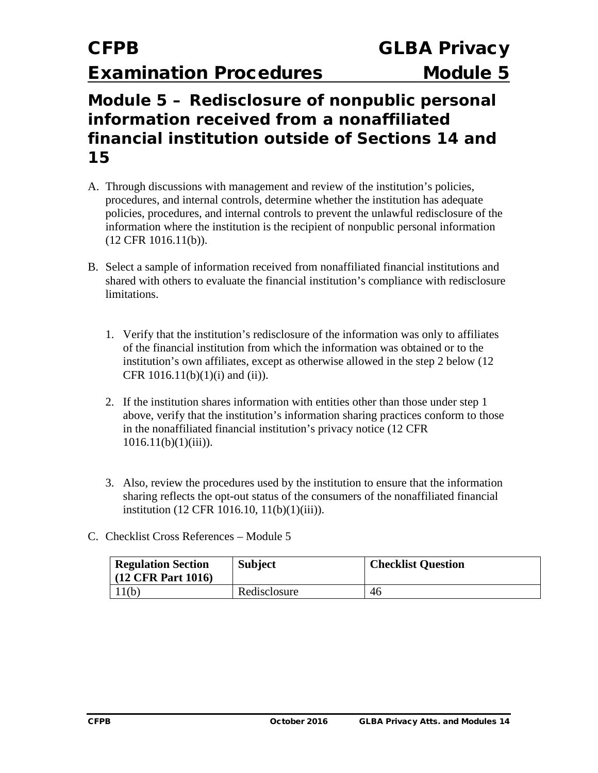### **Module 5 – Redisclosure of nonpublic personal information received from a nonaffiliated financial institution outside of Sections 14 and 15**

- A. Through discussions with management and review of the institution's policies, procedures, and internal controls, determine whether the institution has adequate policies, procedures, and internal controls to prevent the unlawful redisclosure of the information where the institution is the recipient of nonpublic personal information (12 CFR 1016.11(b)).
- B. Select a sample of information received from nonaffiliated financial institutions and shared with others to evaluate the financial institution's compliance with redisclosure limitations.
	- 1. Verify that the institution's redisclosure of the information was only to affiliates of the financial institution from which the information was obtained or to the institution's own affiliates, except as otherwise allowed in the step 2 below (12 CFR  $1016.11(b)(1)(i)$  and  $(ii)$ ).
	- 2. If the institution shares information with entities other than those under step 1 above, verify that the institution's information sharing practices conform to those in the nonaffiliated financial institution's privacy notice (12 CFR  $1016.11(b)(1)(iii)$ ).
	- 3. Also, review the procedures used by the institution to ensure that the information sharing reflects the opt-out status of the consumers of the nonaffiliated financial institution (12 CFR 1016.10, 11(b)(1)(iii)).
- C. Checklist Cross References Module 5

| <b>Regulation Section</b><br>$(12 \text{ CFR Part } 1016)$ | <b>Subject</b> | <b>Checklist Question</b> |
|------------------------------------------------------------|----------------|---------------------------|
| 11(b)                                                      | Redisclosure   | 46                        |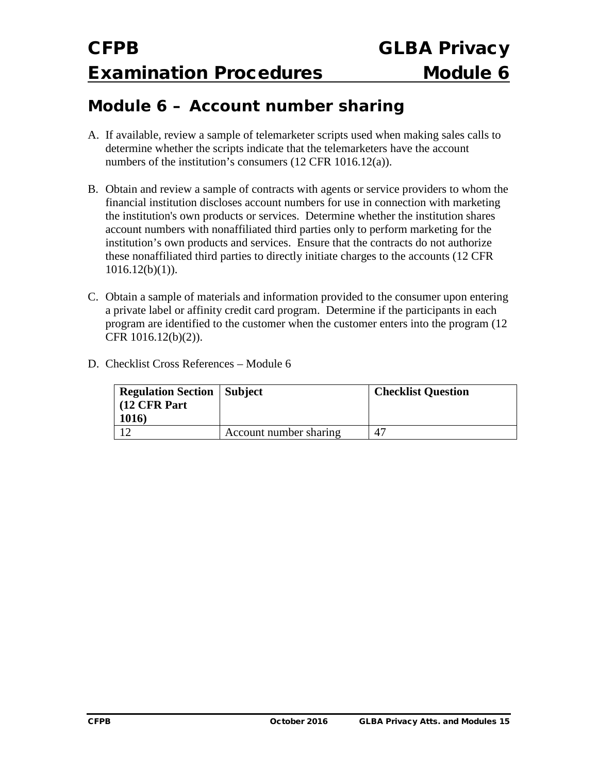### **Module 6 – Account number sharing**

- A. If available, review a sample of telemarketer scripts used when making sales calls to determine whether the scripts indicate that the telemarketers have the account numbers of the institution's consumers (12 CFR 1016.12(a)).
- B. Obtain and review a sample of contracts with agents or service providers to whom the financial institution discloses account numbers for use in connection with marketing the institution's own products or services. Determine whether the institution shares account numbers with nonaffiliated third parties only to perform marketing for the institution's own products and services. Ensure that the contracts do not authorize these nonaffiliated third parties to directly initiate charges to the accounts (12 CFR  $1016.12(b)(1)$ ).
- C. Obtain a sample of materials and information provided to the consumer upon entering a private label or affinity credit card program. Determine if the participants in each program are identified to the customer when the customer enters into the program (12 CFR 1016.12(b)(2)).
- D. Checklist Cross References Module 6

| <b>Regulation Section   Subject</b><br>$\vert$ (12 CFR Part) |                        | <b>Checklist Question</b> |
|--------------------------------------------------------------|------------------------|---------------------------|
| <b>1016</b>                                                  |                        |                           |
|                                                              | Account number sharing | 47                        |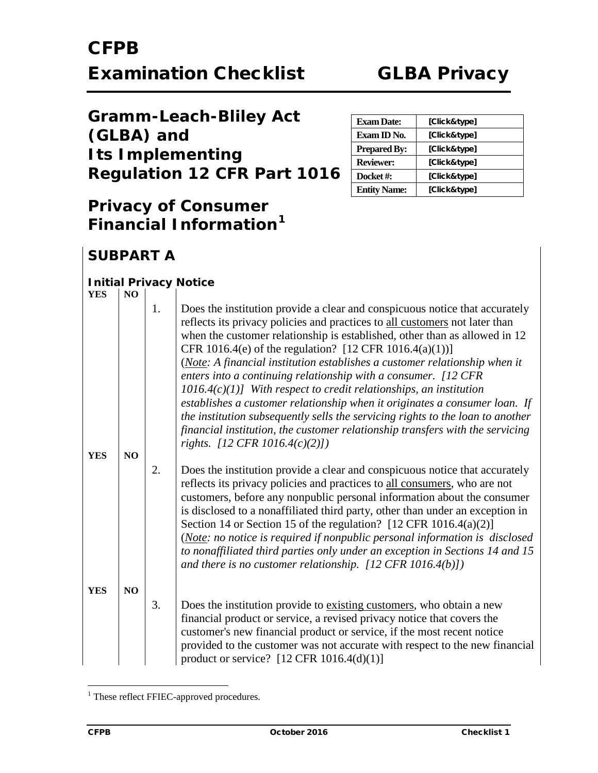| <b>Gramm-Leach-Bliley Act</b>      |
|------------------------------------|
| (GLBA) and                         |
| <b>Its Implementing</b>            |
| <b>Regulation 12 CFR Part 1016</b> |

### **Privacy of Consumer Financial Information[1](#page-34-0)**

| <b>Exam Date:</b>   | [Click&type] |
|---------------------|--------------|
| Exam ID No.         | [Click&type] |
| <b>Prepared By:</b> | [Click&type] |
| <b>Reviewer:</b>    | [Click&type] |
| Docket#:            | [Click&type] |
| <b>Entity Name:</b> | [Click&type] |

### **SUBPART A**

#### *Initial Privacy Notice*

| <b>YES</b> | N <sub>O</sub> |    |                                                                                                                                                                                                                                                                                                                                                                                                                                                                                                                                                                                                                                                                                                                                                                                                                 |
|------------|----------------|----|-----------------------------------------------------------------------------------------------------------------------------------------------------------------------------------------------------------------------------------------------------------------------------------------------------------------------------------------------------------------------------------------------------------------------------------------------------------------------------------------------------------------------------------------------------------------------------------------------------------------------------------------------------------------------------------------------------------------------------------------------------------------------------------------------------------------|
|            |                | 1. | Does the institution provide a clear and conspicuous notice that accurately<br>reflects its privacy policies and practices to all customers not later than<br>when the customer relationship is established, other than as allowed in 12<br>CFR 1016.4(e) of the regulation? [12 CFR 1016.4(a)(1))]<br>(Note: A financial institution establishes a customer relationship when it<br>enters into a continuing relationship with a consumer. [12 CFR<br>$1016.4(c)(1)$ ] With respect to credit relationships, an institution<br>establishes a customer relationship when it originates a consumer loan. If<br>the institution subsequently sells the servicing rights to the loan to another<br>financial institution, the customer relationship transfers with the servicing<br>rights. [12 CFR 1016.4(c)(2)]) |
| <b>YES</b> | NO             |    |                                                                                                                                                                                                                                                                                                                                                                                                                                                                                                                                                                                                                                                                                                                                                                                                                 |
|            |                | 2. | Does the institution provide a clear and conspicuous notice that accurately<br>reflects its privacy policies and practices to all consumers, who are not<br>customers, before any nonpublic personal information about the consumer<br>is disclosed to a nonaffiliated third party, other than under an exception in<br>Section 14 or Section 15 of the regulation? [12 CFR 1016.4(a)(2)]<br>(Note: no notice is required if nonpublic personal information is disclosed<br>to nonaffiliated third parties only under an exception in Sections 14 and 15<br>and there is no customer relationship. $[12 \text{ CFR } 1016.4(b)]$ )                                                                                                                                                                              |
| <b>YES</b> | NO             |    |                                                                                                                                                                                                                                                                                                                                                                                                                                                                                                                                                                                                                                                                                                                                                                                                                 |
|            |                | 3. | Does the institution provide to existing customers, who obtain a new<br>financial product or service, a revised privacy notice that covers the<br>customer's new financial product or service, if the most recent notice<br>provided to the customer was not accurate with respect to the new financial<br>product or service? $[12 \text{ CFR } 1016.4(d)(1)]$                                                                                                                                                                                                                                                                                                                                                                                                                                                 |

<span id="page-34-0"></span><sup>&</sup>lt;sup>1</sup> These reflect FFIEC-approved procedures.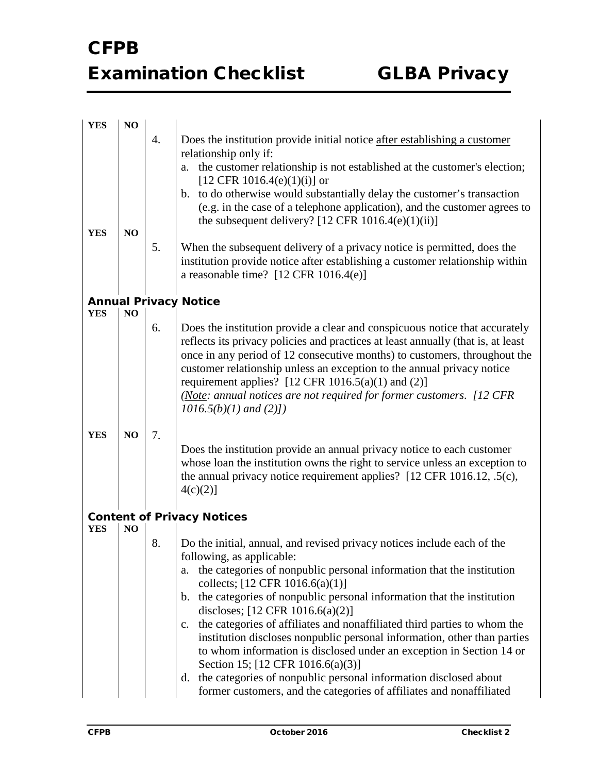| <b>YES</b> | NO             |    |                                                                                                                                                               |
|------------|----------------|----|---------------------------------------------------------------------------------------------------------------------------------------------------------------|
|            |                | 4. | Does the institution provide initial notice after establishing a customer                                                                                     |
|            |                |    | relationship only if:                                                                                                                                         |
|            |                |    | the customer relationship is not established at the customer's election;<br>a.                                                                                |
|            |                |    | [12 CFR 1016.4(e)(1)(i)] or                                                                                                                                   |
|            |                |    | b. to do otherwise would substantially delay the customer's transaction                                                                                       |
|            |                |    | (e.g. in the case of a telephone application), and the customer agrees to                                                                                     |
|            |                |    | the subsequent delivery? [12 CFR $1016.4(e)(1)(ii)$ ]                                                                                                         |
| <b>YES</b> | NO             | 5. |                                                                                                                                                               |
|            |                |    | When the subsequent delivery of a privacy notice is permitted, does the<br>institution provide notice after establishing a customer relationship within       |
|            |                |    | a reasonable time? $[12 \text{ CFR } 1016.4(e)]$                                                                                                              |
|            |                |    |                                                                                                                                                               |
|            |                |    | <b>Annual Privacy Notice</b>                                                                                                                                  |
| <b>YES</b> | NO             |    |                                                                                                                                                               |
|            |                | 6. | Does the institution provide a clear and conspicuous notice that accurately                                                                                   |
|            |                |    | reflects its privacy policies and practices at least annually (that is, at least<br>once in any period of 12 consecutive months) to customers, throughout the |
|            |                |    | customer relationship unless an exception to the annual privacy notice                                                                                        |
|            |                |    | requirement applies? [12 CFR 1016.5(a)(1) and (2)]                                                                                                            |
|            |                |    | (Note: annual notices are not required for former customers. [12 CFR                                                                                          |
|            |                |    | $1016.5(b)(1)$ and $(2)$ ])                                                                                                                                   |
|            |                |    |                                                                                                                                                               |
| <b>YES</b> | NO             | 7. |                                                                                                                                                               |
|            |                |    | Does the institution provide an annual privacy notice to each customer<br>whose loan the institution owns the right to service unless an exception to         |
|            |                |    | the annual privacy notice requirement applies? [12 CFR 1016.12, .5(c),                                                                                        |
|            |                |    | 4(c)(2)]                                                                                                                                                      |
|            |                |    |                                                                                                                                                               |
|            |                |    | <b>Content of Privacy Notices</b>                                                                                                                             |
| <b>YES</b> | N <sub>O</sub> | 8. |                                                                                                                                                               |
|            |                |    | Do the initial, annual, and revised privacy notices include each of the<br>following, as applicable:                                                          |
|            |                |    | the categories of nonpublic personal information that the institution<br>a.                                                                                   |
|            |                |    | collects; $[12 \text{ CFR } 1016.6(a)(1)]$                                                                                                                    |
|            |                |    | the categories of nonpublic personal information that the institution<br>b.                                                                                   |
|            |                |    | discloses; [12 CFR 1016.6(a)(2)]                                                                                                                              |
|            |                |    | the categories of affiliates and nonaffiliated third parties to whom the<br>$c_{\cdot}$                                                                       |
|            |                |    | institution discloses nonpublic personal information, other than parties                                                                                      |
|            |                |    | to whom information is disclosed under an exception in Section 14 or                                                                                          |
|            |                |    | Section 15; [12 CFR 1016.6(a)(3)]<br>the categories of nonpublic personal information disclosed about<br>d.                                                   |
|            |                |    | former customers, and the categories of affiliates and nonaffiliated                                                                                          |
|            |                |    |                                                                                                                                                               |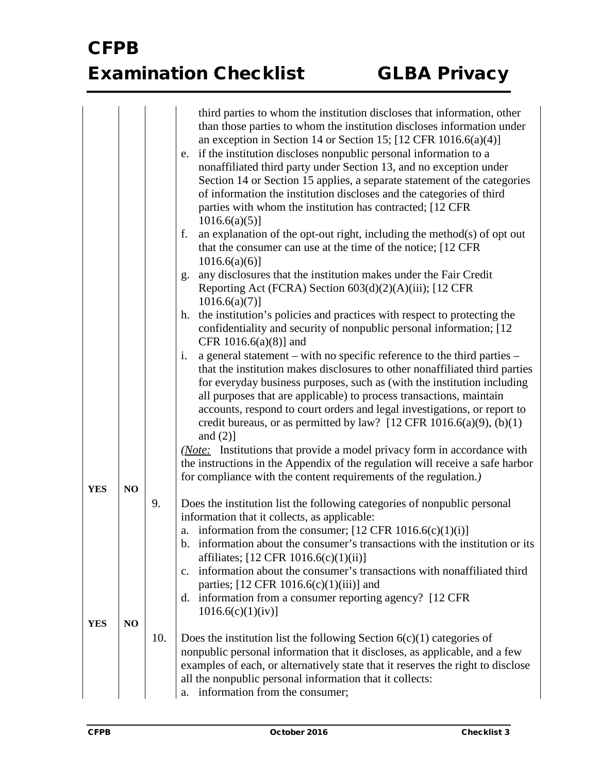|            |    |     | third parties to whom the institution discloses that information, other<br>than those parties to whom the institution discloses information under<br>an exception in Section 14 or Section 15; $[12 \text{ CFR } 1016.6(a)(4)]$<br>if the institution discloses nonpublic personal information to a<br>e.                                                                                                                                                                              |
|------------|----|-----|----------------------------------------------------------------------------------------------------------------------------------------------------------------------------------------------------------------------------------------------------------------------------------------------------------------------------------------------------------------------------------------------------------------------------------------------------------------------------------------|
|            |    |     | nonaffiliated third party under Section 13, and no exception under<br>Section 14 or Section 15 applies, a separate statement of the categories<br>of information the institution discloses and the categories of third<br>parties with whom the institution has contracted; [12 CFR<br>$1016.6(a)(5)$ ]                                                                                                                                                                                |
|            |    |     | an explanation of the opt-out right, including the method $(s)$ of opt out<br>f.<br>that the consumer can use at the time of the notice; [12 CFR]<br>$1016.6(a)(6)$ ]                                                                                                                                                                                                                                                                                                                  |
|            |    |     | any disclosures that the institution makes under the Fair Credit<br>g.<br>Reporting Act (FCRA) Section 603(d)(2)(A)(iii); [12 CFR<br>$1016.6(a)(7)$ ]                                                                                                                                                                                                                                                                                                                                  |
|            |    |     | the institution's policies and practices with respect to protecting the<br>h.<br>confidentiality and security of nonpublic personal information; [12]<br>CFR 1016.6(a)(8)] and                                                                                                                                                                                                                                                                                                         |
|            |    |     | i.<br>a general statement – with no specific reference to the third parties –<br>that the institution makes disclosures to other nonaffiliated third parties<br>for everyday business purposes, such as (with the institution including<br>all purposes that are applicable) to process transactions, maintain<br>accounts, respond to court orders and legal investigations, or report to<br>credit bureaus, or as permitted by law? [12 CFR $1016.6(a)(9)$ , $(b)(1)$<br>and $(2)$ ] |
|            |    |     | ( <i>Note:</i> Institutions that provide a model privacy form in accordance with<br>the instructions in the Appendix of the regulation will receive a safe harbor<br>for compliance with the content requirements of the regulation.)                                                                                                                                                                                                                                                  |
| <b>YES</b> | NO |     |                                                                                                                                                                                                                                                                                                                                                                                                                                                                                        |
|            |    | 9.  | Does the institution list the following categories of nonpublic personal<br>information that it collects, as applicable:                                                                                                                                                                                                                                                                                                                                                               |
|            |    |     | a. information from the consumer; $[12 \text{ CFR } 1016.6(c)(1)(i)]$                                                                                                                                                                                                                                                                                                                                                                                                                  |
|            |    |     | information about the consumer's transactions with the institution or its<br>b.<br>affiliates; [12 CFR 1016.6(c)(1)(ii)]                                                                                                                                                                                                                                                                                                                                                               |
|            |    |     | information about the consumer's transactions with nonaffiliated third<br>$C_{\bullet}$<br>parties; $[12 \text{ CFR } 1016.6(c)(1)(iii)]$ and                                                                                                                                                                                                                                                                                                                                          |
|            |    |     | d. information from a consumer reporting agency? [12 CFR]<br>1016.6(c)(1)(iv)]                                                                                                                                                                                                                                                                                                                                                                                                         |
| <b>YES</b> | NO |     |                                                                                                                                                                                                                                                                                                                                                                                                                                                                                        |
|            |    | 10. | Does the institution list the following Section $6(c)(1)$ categories of<br>nonpublic personal information that it discloses, as applicable, and a few<br>examples of each, or alternatively state that it reserves the right to disclose<br>all the nonpublic personal information that it collects:<br>information from the consumer;<br>a.                                                                                                                                           |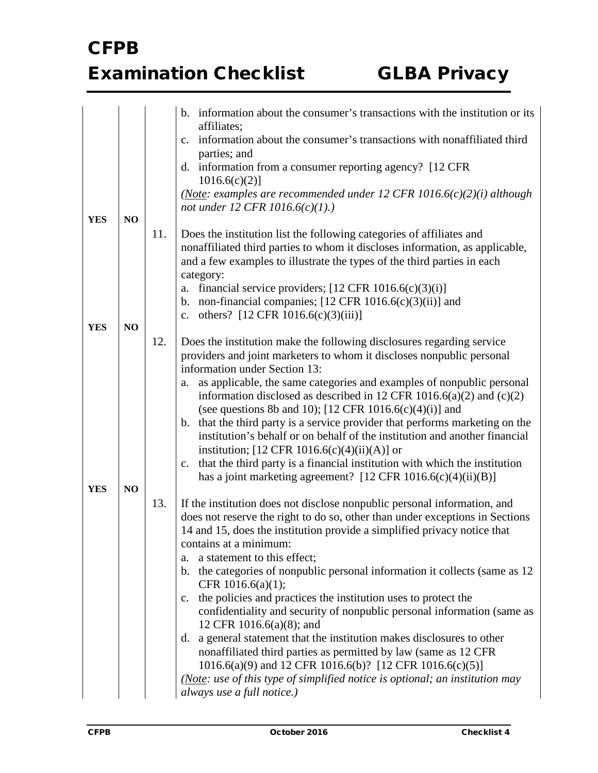|            |    |     | b. information about the consumer's transactions with the institution or its<br>affiliates;                                                                                                                                                                                                                          |
|------------|----|-----|----------------------------------------------------------------------------------------------------------------------------------------------------------------------------------------------------------------------------------------------------------------------------------------------------------------------|
|            |    |     | information about the consumer's transactions with nonaffiliated third<br>$\mathbf{c}$ .<br>parties; and                                                                                                                                                                                                             |
|            |    |     | d. information from a consumer reporting agency? [12 CFR]<br>$1016.6(c)(2)$ ]                                                                                                                                                                                                                                        |
|            |    |     | (Note: examples are recommended under 12 CFR $1016.6(c)(2)(i)$ although<br>not under 12 CFR $1016.6(c)(1)$ .)                                                                                                                                                                                                        |
| <b>YES</b> | NO |     |                                                                                                                                                                                                                                                                                                                      |
|            |    | 11. | Does the institution list the following categories of affiliates and<br>nonaffiliated third parties to whom it discloses information, as applicable,<br>and a few examples to illustrate the types of the third parties in each<br>category:                                                                         |
|            |    |     | financial service providers; $[12 \text{ CFR } 1016.6(c)(3)(i)]$<br>a.                                                                                                                                                                                                                                               |
|            |    |     | non-financial companies; $[12 \text{ CFR } 1016.6(c)(3)(ii)]$ and<br>b.                                                                                                                                                                                                                                              |
|            |    |     | c. others? $[12 \text{ CFR } 1016.6(c)(3)(iii)]$                                                                                                                                                                                                                                                                     |
| <b>YES</b> | NO |     |                                                                                                                                                                                                                                                                                                                      |
|            |    | 12. | Does the institution make the following disclosures regarding service<br>providers and joint marketers to whom it discloses nonpublic personal<br>information under Section 13:                                                                                                                                      |
|            |    |     | as applicable, the same categories and examples of nonpublic personal<br>a.<br>information disclosed as described in 12 CFR 1016.6(a)(2) and (c)(2)<br>(see questions 8b and 10); [12 CFR $1016.6(c)(4)(i)$ ] and                                                                                                    |
|            |    |     | b. that the third party is a service provider that performs marketing on the<br>institution's behalf or on behalf of the institution and another financial<br>institution; $[12 \text{ CFR } 1016.6(c)(4)(ii)(A)]$ or<br>that the third party is a financial institution with which the institution<br>$C_{\bullet}$ |
|            |    |     | has a joint marketing agreement? $[12 \text{ CFR } 1016.6(c)(4)(ii)(B)]$                                                                                                                                                                                                                                             |
| <b>YES</b> | NO |     |                                                                                                                                                                                                                                                                                                                      |
|            |    | 13. | If the institution does not disclose nonpublic personal information, and<br>does not reserve the right to do so, other than under exceptions in Sections<br>14 and 15, does the institution provide a simplified privacy notice that<br>contains at a minimum:<br>a statement to this effect;<br>a.                  |
|            |    |     | b. the categories of nonpublic personal information it collects (same as 12)<br>CFR 1016.6(a)(1);                                                                                                                                                                                                                    |
|            |    |     | the policies and practices the institution uses to protect the<br>$\mathbf{c}$ .<br>confidentiality and security of nonpublic personal information (same as<br>12 CFR 1016.6(a)(8); and                                                                                                                              |
|            |    |     | a general statement that the institution makes disclosures to other<br>d.<br>nonaffiliated third parties as permitted by law (same as 12 CFR<br>1016.6(a)(9) and 12 CFR 1016.6(b)? [12 CFR 1016.6(c)(5)]                                                                                                             |
|            |    |     | (Note: use of this type of simplified notice is optional; an institution may<br>always use a full notice.)                                                                                                                                                                                                           |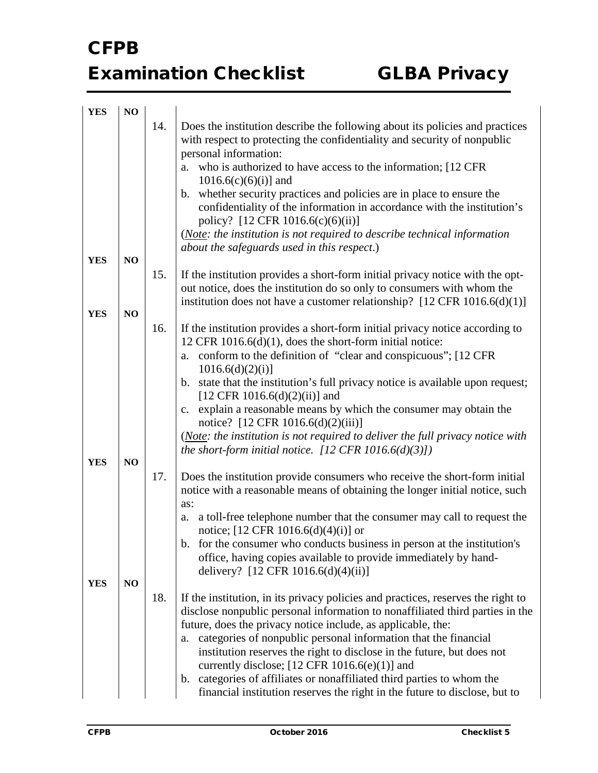| <b>YES</b> | NO             |     |                                                                                                                                                                                                                                                |
|------------|----------------|-----|------------------------------------------------------------------------------------------------------------------------------------------------------------------------------------------------------------------------------------------------|
|            |                | 14. | Does the institution describe the following about its policies and practices<br>with respect to protecting the confidentiality and security of nonpublic<br>personal information:                                                              |
|            |                |     | who is authorized to have access to the information; [12 CFR]<br>a.                                                                                                                                                                            |
|            |                |     | $1016.6(c)(6)(i)$ ] and                                                                                                                                                                                                                        |
|            |                |     | whether security practices and policies are in place to ensure the<br>b.<br>confidentiality of the information in accordance with the institution's<br>policy? [12 CFR 1016.6(c)(6)(ii)]                                                       |
|            |                |     | (Note: the institution is not required to describe technical information                                                                                                                                                                       |
| <b>YES</b> | NO             |     | about the safeguards used in this respect.)                                                                                                                                                                                                    |
|            |                | 15. | If the institution provides a short-form initial privacy notice with the opt-<br>out notice, does the institution do so only to consumers with whom the<br>institution does not have a customer relationship? $[12 \text{ CFR } 1016.6(d)(1)]$ |
| <b>YES</b> | NO             |     |                                                                                                                                                                                                                                                |
|            |                | 16. | If the institution provides a short-form initial privacy notice according to<br>12 CFR 1016.6(d)(1), does the short-form initial notice:                                                                                                       |
|            |                |     | a. conform to the definition of "clear and conspicuous"; [12 CFR<br>1016.6(d)(2)(i)                                                                                                                                                            |
|            |                |     | b. state that the institution's full privacy notice is available upon request;<br>[12 CFR 1016.6(d)(2)(ii)] and                                                                                                                                |
|            |                |     | c. explain a reasonable means by which the consumer may obtain the<br>notice? [12 CFR 1016.6(d)(2)(iii)]                                                                                                                                       |
|            |                |     | (Note: the institution is not required to deliver the full privacy notice with<br>the short-form initial notice. $[12 \text{ CFR } 1016.6(d)(3)]$                                                                                              |
| <b>YES</b> | N <sub>O</sub> | 17. |                                                                                                                                                                                                                                                |
|            |                |     | Does the institution provide consumers who receive the short-form initial<br>notice with a reasonable means of obtaining the longer initial notice, such<br>as:                                                                                |
|            |                |     | a toll-free telephone number that the consumer may call to request the<br>a.<br>notice; $[12 \text{ CFR } 1016.6(d)(4)(i)]$ or                                                                                                                 |
|            |                |     | b. for the consumer who conducts business in person at the institution's<br>office, having copies available to provide immediately by hand-<br>delivery? [12 CFR 1016.6(d)(4)(ii)]                                                             |
| <b>YES</b> | NO             |     |                                                                                                                                                                                                                                                |
|            |                | 18. | If the institution, in its privacy policies and practices, reserves the right to<br>disclose nonpublic personal information to nonaffiliated third parties in the<br>future, does the privacy notice include, as applicable, the:              |
|            |                |     | categories of nonpublic personal information that the financial<br>a.<br>institution reserves the right to disclose in the future, but does not                                                                                                |
|            |                |     | currently disclose; $[12 \text{ CFR } 1016.6(e)(1)]$ and                                                                                                                                                                                       |
|            |                |     | b. categories of affiliates or nonaffiliated third parties to whom the<br>financial institution reserves the right in the future to disclose, but to                                                                                           |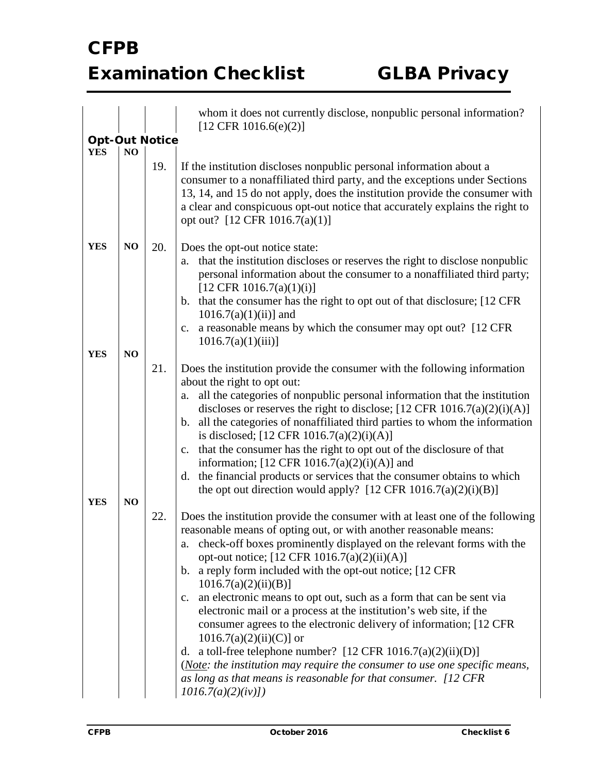|                          |          |     | whom it does not currently disclose, nonpublic personal information?<br>$[12 \text{ CFR } 1016.6(e)(2)]$                                                                                                                                                                                                                                                                                                                                                                                                                                                                                                                                                                                                                                                                                                                                                                               |
|--------------------------|----------|-----|----------------------------------------------------------------------------------------------------------------------------------------------------------------------------------------------------------------------------------------------------------------------------------------------------------------------------------------------------------------------------------------------------------------------------------------------------------------------------------------------------------------------------------------------------------------------------------------------------------------------------------------------------------------------------------------------------------------------------------------------------------------------------------------------------------------------------------------------------------------------------------------|
| <b>Opt-Out Notice</b>    |          |     |                                                                                                                                                                                                                                                                                                                                                                                                                                                                                                                                                                                                                                                                                                                                                                                                                                                                                        |
| <b>YES</b>               | NO       |     |                                                                                                                                                                                                                                                                                                                                                                                                                                                                                                                                                                                                                                                                                                                                                                                                                                                                                        |
|                          |          | 19. | If the institution discloses nonpublic personal information about a<br>consumer to a nonaffiliated third party, and the exceptions under Sections<br>13, 14, and 15 do not apply, does the institution provide the consumer with<br>a clear and conspicuous opt-out notice that accurately explains the right to<br>opt out? [12 CFR 1016.7(a)(1)]                                                                                                                                                                                                                                                                                                                                                                                                                                                                                                                                     |
| <b>YES</b><br><b>YES</b> | NO<br>NO | 20. | Does the opt-out notice state:<br>that the institution discloses or reserves the right to disclose nonpublic<br>a.<br>personal information about the consumer to a nonaffiliated third party;<br>$[12 \text{ CFR } 1016.7(a)(1)(i)]$<br>that the consumer has the right to opt out of that disclosure; [12 CFR<br>$\mathbf{b}$ .<br>$1016.7(a)(1)(ii)$ ] and<br>a reasonable means by which the consumer may opt out? [12 CFR]<br>$c_{\cdot}$<br>$1016.7(a)(1)(iii)$ ]                                                                                                                                                                                                                                                                                                                                                                                                                 |
|                          |          | 21. | Does the institution provide the consumer with the following information                                                                                                                                                                                                                                                                                                                                                                                                                                                                                                                                                                                                                                                                                                                                                                                                               |
| <b>YES</b>               | NO       |     | about the right to opt out:<br>all the categories of nonpublic personal information that the institution<br>a.<br>discloses or reserves the right to disclose; $[12 \text{ CFR } 1016.7(a)(2)(i)(A)]$<br>b. all the categories of nonaffiliated third parties to whom the information<br>is disclosed; $[12 \text{ CFR } 1016.7(a)(2)(i)(A)]$<br>that the consumer has the right to opt out of the disclosure of that<br>c.<br>information; $[12 \text{ CFR } 1016.7(a)(2)(i)(A)]$ and<br>the financial products or services that the consumer obtains to which<br>d.<br>the opt out direction would apply? $[12 \text{ CFR } 1016.7(a)(2)(i)(B)]$                                                                                                                                                                                                                                     |
|                          |          | 22. | Does the institution provide the consumer with at least one of the following<br>reasonable means of opting out, or with another reasonable means:<br>a. check-off boxes prominently displayed on the relevant forms with the<br>opt-out notice; [12 CFR 1016.7(a)(2)(ii)(A)]<br>b. a reply form included with the opt-out notice; [12 CFR]<br>$1016.7(a)(2)(ii)(B)$ ]<br>an electronic means to opt out, such as a form that can be sent via<br>$\mathbf{c}$ .<br>electronic mail or a process at the institution's web site, if the<br>consumer agrees to the electronic delivery of information; [12 CFR<br>$1016.7(a)(2)(ii)(C)$ or<br>d. a toll-free telephone number? $[12 \text{ CFR } 1016.7(a)(2)(ii)(D)]$<br>(Note: the institution may require the consumer to use one specific means,<br>as long as that means is reasonable for that consumer. [12 CFR<br>1016.7(a)(2)(iv) |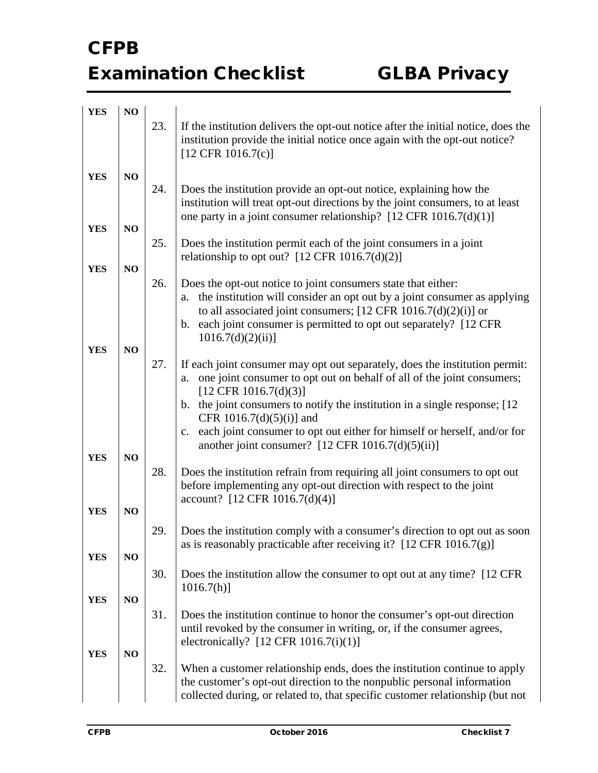| <b>YES</b> | NO |     |                                                                                                                                                                                                                                                                                                                                                       |
|------------|----|-----|-------------------------------------------------------------------------------------------------------------------------------------------------------------------------------------------------------------------------------------------------------------------------------------------------------------------------------------------------------|
|            |    | 23. | If the institution delivers the opt-out notice after the initial notice, does the<br>institution provide the initial notice once again with the opt-out notice?<br>$[12 \text{ CFR } 1016.7(c)]$                                                                                                                                                      |
| <b>YES</b> | NO |     |                                                                                                                                                                                                                                                                                                                                                       |
|            |    | 24. | Does the institution provide an opt-out notice, explaining how the<br>institution will treat opt-out directions by the joint consumers, to at least<br>one party in a joint consumer relationship? $[12 \text{ CFR } 1016.7 \text{ (d)}(1)]$                                                                                                          |
| <b>YES</b> | NO |     |                                                                                                                                                                                                                                                                                                                                                       |
|            |    | 25. | Does the institution permit each of the joint consumers in a joint<br>relationship to opt out? $[12 \text{ CFR } 1016.7 \text{ (d)}(2)]$                                                                                                                                                                                                              |
| <b>YES</b> | NO |     |                                                                                                                                                                                                                                                                                                                                                       |
|            |    | 26. | Does the opt-out notice to joint consumers state that either:<br>a. the institution will consider an opt out by a joint consumer as applying<br>to all associated joint consumers; $[12 \text{ CFR } 1016.7 \text{ (d)}(2) \text{ (i)}]$ or<br>each joint consumer is permitted to opt out separately? [12 CFR]<br>$\mathbf{b}$ .<br>1016.7(d)(2)(ii) |
| <b>YES</b> | NO |     |                                                                                                                                                                                                                                                                                                                                                       |
|            |    | 27. | If each joint consumer may opt out separately, does the institution permit:<br>one joint consumer to opt out on behalf of all of the joint consumers;<br>a.<br>$[12 \text{ CFR } 1016.7 \text{ (d)}(3)]$<br>the joint consumers to notify the institution in a single response; [12]<br>$\mathbf{b}$ .<br>CFR 1016.7(d)(5)(i)] and                    |
|            |    |     | each joint consumer to opt out either for himself or herself, and/or for<br>c.<br>another joint consumer? $[12 \text{ CFR } 1016.7 \text{ (d)}(5) \text{ (ii)}]$                                                                                                                                                                                      |
| <b>YES</b> | NO |     |                                                                                                                                                                                                                                                                                                                                                       |
|            |    | 28. | Does the institution refrain from requiring all joint consumers to opt out<br>before implementing any opt-out direction with respect to the joint<br>account? [12 CFR 1016.7(d)(4)]                                                                                                                                                                   |
| <b>YES</b> | NO |     |                                                                                                                                                                                                                                                                                                                                                       |
|            |    | 29. | Does the institution comply with a consumer's direction to opt out as soon<br>as is reasonably practicable after receiving it? $[12 \text{ CFR } 1016.7(g)]$                                                                                                                                                                                          |
| <b>YES</b> | NO |     |                                                                                                                                                                                                                                                                                                                                                       |
|            |    | 30. | Does the institution allow the consumer to opt out at any time? [12 CFR]<br>$1016.7(h)$ ]                                                                                                                                                                                                                                                             |
| <b>YES</b> | NO |     |                                                                                                                                                                                                                                                                                                                                                       |
|            |    | 31. | Does the institution continue to honor the consumer's opt-out direction<br>until revoked by the consumer in writing, or, if the consumer agrees,<br>electronically? $[12 \text{ CFR } 1016.7(i)(1)]$                                                                                                                                                  |
| <b>YES</b> | NO |     |                                                                                                                                                                                                                                                                                                                                                       |
|            |    | 32. | When a customer relationship ends, does the institution continue to apply<br>the customer's opt-out direction to the nonpublic personal information<br>collected during, or related to, that specific customer relationship (but not                                                                                                                  |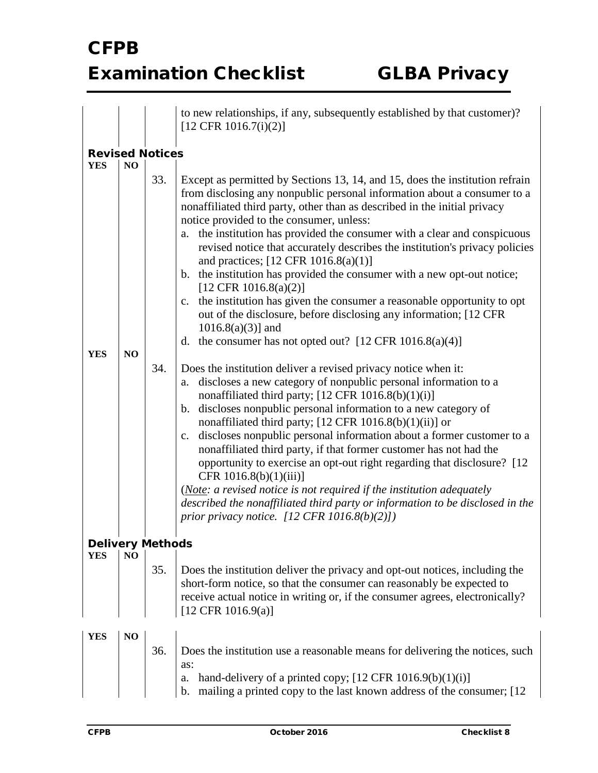|                                      |                |            | to new relationships, if any, subsequently established by that customer)?<br>$[12 \text{ CFR } 1016.7(i)(2)]$                                                                                                                                                                                                                                                                                                                                                                                                                                                                                                                                                                                                                                                                                                                                                                                                                                                                                                                                                                                                                                                                                                                                                                                                                                                                                                                                                                                                                                                                                                                                                                                      |
|--------------------------------------|----------------|------------|----------------------------------------------------------------------------------------------------------------------------------------------------------------------------------------------------------------------------------------------------------------------------------------------------------------------------------------------------------------------------------------------------------------------------------------------------------------------------------------------------------------------------------------------------------------------------------------------------------------------------------------------------------------------------------------------------------------------------------------------------------------------------------------------------------------------------------------------------------------------------------------------------------------------------------------------------------------------------------------------------------------------------------------------------------------------------------------------------------------------------------------------------------------------------------------------------------------------------------------------------------------------------------------------------------------------------------------------------------------------------------------------------------------------------------------------------------------------------------------------------------------------------------------------------------------------------------------------------------------------------------------------------------------------------------------------------|
| <b>Revised Notices</b><br><b>YES</b> | N <sub>O</sub> |            |                                                                                                                                                                                                                                                                                                                                                                                                                                                                                                                                                                                                                                                                                                                                                                                                                                                                                                                                                                                                                                                                                                                                                                                                                                                                                                                                                                                                                                                                                                                                                                                                                                                                                                    |
| <b>YES</b>                           | NO             | 33.<br>34. | Except as permitted by Sections 13, 14, and 15, does the institution refrain<br>from disclosing any nonpublic personal information about a consumer to a<br>nonaffiliated third party, other than as described in the initial privacy<br>notice provided to the consumer, unless:<br>the institution has provided the consumer with a clear and conspicuous<br>a.<br>revised notice that accurately describes the institution's privacy policies<br>and practices; $[12 \text{ CFR } 1016.8(a)(1)]$<br>b. the institution has provided the consumer with a new opt-out notice;<br>[12 CFR 1016.8(a)(2)]<br>c. the institution has given the consumer a reasonable opportunity to opt<br>out of the disclosure, before disclosing any information; [12 CFR]<br>$1016.8(a)(3)$ ] and<br>d. the consumer has not opted out? $[12 \text{ CFR } 1016.8(a)(4)]$<br>Does the institution deliver a revised privacy notice when it:<br>discloses a new category of nonpublic personal information to a<br>a.<br>nonaffiliated third party; $[12 \text{ CFR } 1016.8(b)(1)(i)]$<br>discloses nonpublic personal information to a new category of<br>b.<br>nonaffiliated third party; [12 CFR 1016.8(b)(1)(ii)] or<br>discloses nonpublic personal information about a former customer to a<br>c.<br>nonaffiliated third party, if that former customer has not had the<br>opportunity to exercise an opt-out right regarding that disclosure? [12]<br>CFR $1016.8(b)(1)(iii)$ ]<br>( <i>Note: a revised notice is not required if the institution adequately</i><br>described the nonaffiliated third party or information to be disclosed in the<br>prior privacy notice. $[12 \text{ CFR } 1016.8(b)(2)]$ |
| <b>Delivery Methods</b>              |                |            |                                                                                                                                                                                                                                                                                                                                                                                                                                                                                                                                                                                                                                                                                                                                                                                                                                                                                                                                                                                                                                                                                                                                                                                                                                                                                                                                                                                                                                                                                                                                                                                                                                                                                                    |
| <b>YES</b>                           | N <sub>O</sub> | 35.        | Does the institution deliver the privacy and opt-out notices, including the<br>short-form notice, so that the consumer can reasonably be expected to<br>receive actual notice in writing or, if the consumer agrees, electronically?<br>$[12 \text{ CFR } 1016.9(a)]$                                                                                                                                                                                                                                                                                                                                                                                                                                                                                                                                                                                                                                                                                                                                                                                                                                                                                                                                                                                                                                                                                                                                                                                                                                                                                                                                                                                                                              |
| <b>YES</b>                           | NO             | 36.        | Does the institution use a reasonable means for delivering the notices, such<br>as:<br>hand-delivery of a printed copy; $[12 \text{ CFR } 1016.9(b)(1)(i)]$<br>a.<br>mailing a printed copy to the last known address of the consumer; [12]<br>b.                                                                                                                                                                                                                                                                                                                                                                                                                                                                                                                                                                                                                                                                                                                                                                                                                                                                                                                                                                                                                                                                                                                                                                                                                                                                                                                                                                                                                                                  |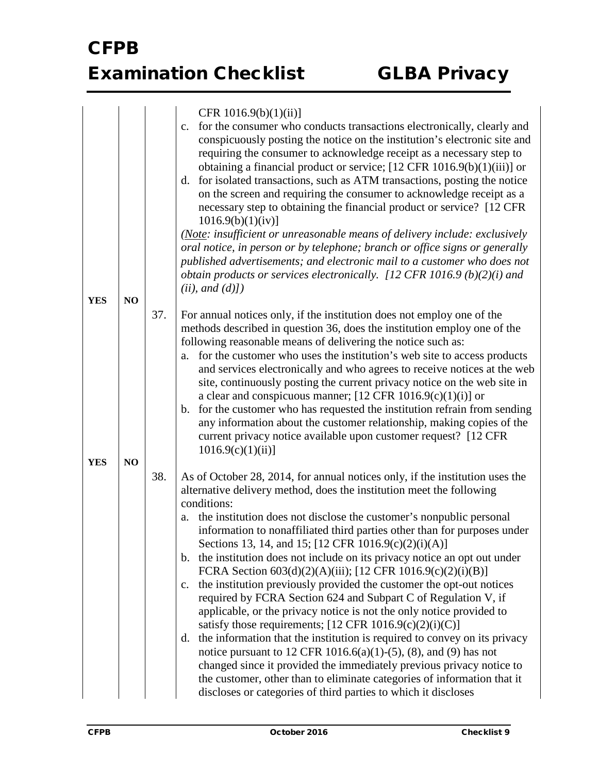|            |    |     | CFR $1016.9(b)(1)(ii)$ ]                                                                                                                                                                                                                                                                                                                                                                                                                                                                                                                                                                                                                                                                                                                                                                                                                                                                                              |
|------------|----|-----|-----------------------------------------------------------------------------------------------------------------------------------------------------------------------------------------------------------------------------------------------------------------------------------------------------------------------------------------------------------------------------------------------------------------------------------------------------------------------------------------------------------------------------------------------------------------------------------------------------------------------------------------------------------------------------------------------------------------------------------------------------------------------------------------------------------------------------------------------------------------------------------------------------------------------|
|            |    |     | for the consumer who conducts transactions electronically, clearly and<br>$C_{\bullet}$<br>conspicuously posting the notice on the institution's electronic site and<br>requiring the consumer to acknowledge receipt as a necessary step to<br>obtaining a financial product or service; $[12 \text{ CFR } 1016.9(b)(1)(iii)]$ or<br>for isolated transactions, such as ATM transactions, posting the notice<br>d.<br>on the screen and requiring the consumer to acknowledge receipt as a<br>necessary step to obtaining the financial product or service? [12 CFR]<br>1016.9(b)(1)(iv)                                                                                                                                                                                                                                                                                                                             |
|            |    |     | (Note: insufficient or unreasonable means of delivery include: exclusively<br>oral notice, in person or by telephone; branch or office signs or generally<br>published advertisements; and electronic mail to a customer who does not                                                                                                                                                                                                                                                                                                                                                                                                                                                                                                                                                                                                                                                                                 |
|            |    |     | obtain products or services electronically. [12 CFR 1016.9 (b)(2)(i) and<br>(ii), and (d)]                                                                                                                                                                                                                                                                                                                                                                                                                                                                                                                                                                                                                                                                                                                                                                                                                            |
| <b>YES</b> | NO |     |                                                                                                                                                                                                                                                                                                                                                                                                                                                                                                                                                                                                                                                                                                                                                                                                                                                                                                                       |
| <b>YES</b> | NO | 37. | For annual notices only, if the institution does not employ one of the<br>methods described in question 36, does the institution employ one of the<br>following reasonable means of delivering the notice such as:<br>for the customer who uses the institution's web site to access products<br>a.<br>and services electronically and who agrees to receive notices at the web<br>site, continuously posting the current privacy notice on the web site in<br>a clear and conspicuous manner; [12 CFR 1016.9(c)(1)(i)] or<br>for the customer who has requested the institution refrain from sending<br>b.<br>any information about the customer relationship, making copies of the<br>current privacy notice available upon customer request? [12 CFR]<br>1016.9(c)(1)(ii)                                                                                                                                          |
|            |    | 38. | As of October 28, 2014, for annual notices only, if the institution uses the                                                                                                                                                                                                                                                                                                                                                                                                                                                                                                                                                                                                                                                                                                                                                                                                                                          |
|            |    |     | alternative delivery method, does the institution meet the following<br>conditions:<br>the institution does not disclose the customer's nonpublic personal<br>a.<br>information to nonaffiliated third parties other than for purposes under<br>Sections 13, 14, and 15; [12 CFR 1016.9(c)(2)(i)(A)]<br>the institution does not include on its privacy notice an opt out under<br>$\mathbf{b}$ .<br>FCRA Section 603(d)(2)(A)(iii); [12 CFR 1016.9(c)(2)(i)(B)]<br>the institution previously provided the customer the opt-out notices<br>c.<br>required by FCRA Section 624 and Subpart C of Regulation V, if<br>applicable, or the privacy notice is not the only notice provided to<br>satisfy those requirements; $[12 \text{ CFR } 1016.9(c)(2)(i)(C)]$<br>the information that the institution is required to convey on its privacy<br>d.<br>notice pursuant to 12 CFR 1016.6(a)(1)-(5), (8), and (9) has not |
|            |    |     | changed since it provided the immediately previous privacy notice to<br>the customer, other than to eliminate categories of information that it<br>discloses or categories of third parties to which it discloses                                                                                                                                                                                                                                                                                                                                                                                                                                                                                                                                                                                                                                                                                                     |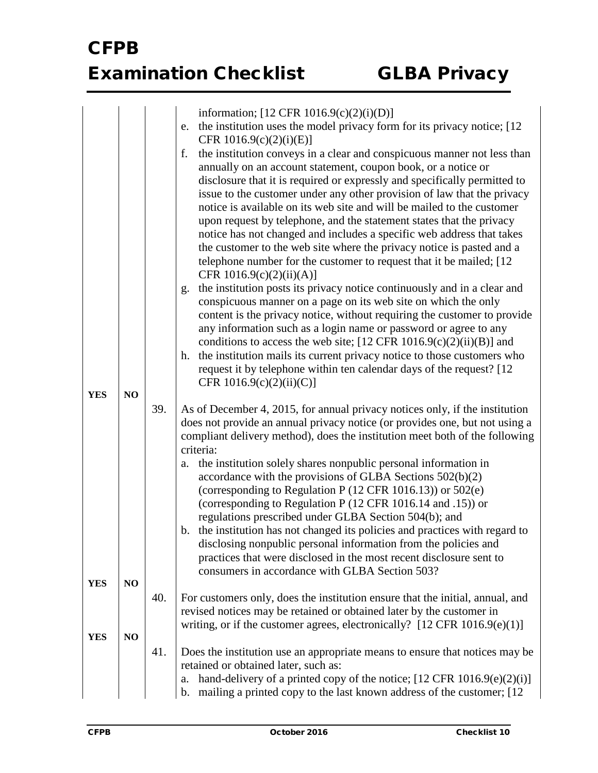|            |                |     | information; [12 CFR 1016.9(c)(2)(i)(D)]                                                                                                                                                              |
|------------|----------------|-----|-------------------------------------------------------------------------------------------------------------------------------------------------------------------------------------------------------|
|            |                |     | the institution uses the model privacy form for its privacy notice; [12]<br>e.                                                                                                                        |
|            |                |     | CFR $1016.9(c)(2)(i)(E)$                                                                                                                                                                              |
|            |                |     | the institution conveys in a clear and conspicuous manner not less than<br>f.<br>annually on an account statement, coupon book, or a notice or                                                        |
|            |                |     | disclosure that it is required or expressly and specifically permitted to                                                                                                                             |
|            |                |     | issue to the customer under any other provision of law that the privacy                                                                                                                               |
|            |                |     | notice is available on its web site and will be mailed to the customer                                                                                                                                |
|            |                |     | upon request by telephone, and the statement states that the privacy                                                                                                                                  |
|            |                |     | notice has not changed and includes a specific web address that takes<br>the customer to the web site where the privacy notice is pasted and a                                                        |
|            |                |     | telephone number for the customer to request that it be mailed; [12                                                                                                                                   |
|            |                |     | CFR $1016.9(c)(2)(ii)(A)$ ]                                                                                                                                                                           |
|            |                |     | the institution posts its privacy notice continuously and in a clear and<br>g.                                                                                                                        |
|            |                |     | conspicuous manner on a page on its web site on which the only                                                                                                                                        |
|            |                |     | content is the privacy notice, without requiring the customer to provide<br>any information such as a login name or password or agree to any                                                          |
|            |                |     | conditions to access the web site; $[12 \text{ CFR } 1016.9 \text{ (c)}(2) \text{ (ii)}(B)]$ and                                                                                                      |
|            |                |     | the institution mails its current privacy notice to those customers who<br>h.                                                                                                                         |
|            |                |     | request it by telephone within ten calendar days of the request? [12                                                                                                                                  |
| <b>YES</b> | NO             |     | CFR $1016.9(c)(2)(ii)(C)$                                                                                                                                                                             |
|            |                | 39. | As of December 4, 2015, for annual privacy notices only, if the institution                                                                                                                           |
|            |                |     | does not provide an annual privacy notice (or provides one, but not using a                                                                                                                           |
|            |                |     | compliant delivery method), does the institution meet both of the following                                                                                                                           |
|            |                |     | criteria:                                                                                                                                                                                             |
|            |                |     | the institution solely shares nonpublic personal information in<br>a.                                                                                                                                 |
|            |                |     | accordance with the provisions of GLBA Sections 502(b)(2)                                                                                                                                             |
|            |                |     | (corresponding to Regulation P (12 CFR 1016.13)) or 502(e)                                                                                                                                            |
|            |                |     | (corresponding to Regulation P (12 CFR 1016.14 and .15)) or                                                                                                                                           |
|            |                |     | regulations prescribed under GLBA Section 504(b); and<br>the institution has not changed its policies and practices with regard to<br>b.                                                              |
|            |                |     | disclosing nonpublic personal information from the policies and                                                                                                                                       |
|            |                |     | practices that were disclosed in the most recent disclosure sent to                                                                                                                                   |
| <b>YES</b> | NO             |     | consumers in accordance with GLBA Section 503?                                                                                                                                                        |
|            |                | 40. | For customers only, does the institution ensure that the initial, annual, and                                                                                                                         |
|            |                |     | revised notices may be retained or obtained later by the customer in                                                                                                                                  |
|            |                |     | writing, or if the customer agrees, electronically? $[12 \text{ CFR } 1016.9(e)(1)]$                                                                                                                  |
| <b>YES</b> | N <sub>O</sub> | 41. | Does the institution use an appropriate means to ensure that notices may be                                                                                                                           |
|            |                |     | retained or obtained later, such as:                                                                                                                                                                  |
|            |                |     | hand-delivery of a printed copy of the notice; $[12 \text{ CFR } 1016.9 \text{ (e)}(2) \text{ (i)}]$<br>a.<br>mailing a printed copy to the last known address of the customer; [12]<br>$\mathbf b$ . |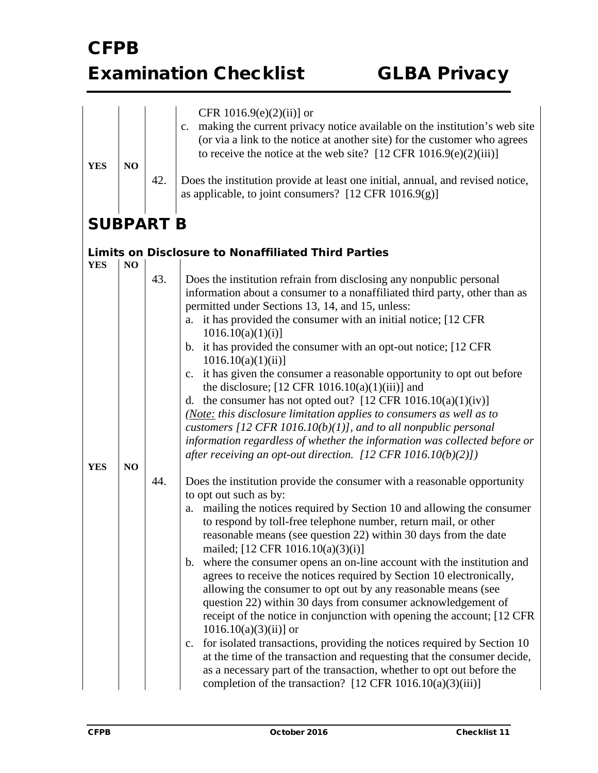|                  |                |     | CFR 1016.9(e) $(2)(ii)$ ] or                                                                                                               |
|------------------|----------------|-----|--------------------------------------------------------------------------------------------------------------------------------------------|
|                  |                |     | making the current privacy notice available on the institution's web site<br>$C_{\bullet}$                                                 |
|                  |                |     | (or via a link to the notice at another site) for the customer who agrees                                                                  |
|                  |                |     | to receive the notice at the web site? $[12 \text{ CFR } 1016.9(e)(2)(iii)]$                                                               |
| <b>YES</b>       | NO             |     |                                                                                                                                            |
|                  |                | 42. | Does the institution provide at least one initial, annual, and revised notice,                                                             |
|                  |                |     | as applicable, to joint consumers? $[12 \text{ CFR } 1016.9(g)]$                                                                           |
|                  |                |     |                                                                                                                                            |
| <b>SUBPART B</b> |                |     |                                                                                                                                            |
| <b>YES</b>       | N <sub>O</sub> |     | <b>Limits on Disclosure to Nonaffiliated Third Parties</b>                                                                                 |
|                  |                | 43. | Does the institution refrain from disclosing any nonpublic personal                                                                        |
|                  |                |     | information about a consumer to a nonaffiliated third party, other than as<br>permitted under Sections 13, 14, and 15, unless:             |
|                  |                |     | it has provided the consumer with an initial notice; [12 CFR]<br>a.                                                                        |
|                  |                |     | 1016.10(a)(1)(i)<br>b. it has provided the consumer with an opt-out notice; [12 CFR                                                        |
|                  |                |     | $1016.10(a)(1)(ii)$ ]                                                                                                                      |
|                  |                |     | it has given the consumer a reasonable opportunity to opt out before<br>$\mathbf{c}$ .                                                     |
|                  |                |     | the disclosure; $[12 \text{ CFR } 1016.10(a)(1)(iii)]$ and                                                                                 |
|                  |                |     | d. the consumer has not opted out? $[12 \text{ CFR } 1016.10(a)(1)(iv)]$                                                                   |
|                  |                |     | (Note: this disclosure limitation applies to consumers as well as to<br>customers [12 CFR $1016.10(b)(1)$ ], and to all nonpublic personal |
|                  |                |     | information regardless of whether the information was collected before or                                                                  |
|                  |                |     | after receiving an opt-out direction. [12 CFR 1016.10(b)(2)])                                                                              |
| <b>YES</b>       | NO             |     |                                                                                                                                            |
|                  |                | 44. | Does the institution provide the consumer with a reasonable opportunity<br>to opt out such as by:                                          |
|                  |                |     | mailing the notices required by Section 10 and allowing the consumer<br>a.                                                                 |
|                  |                |     | to respond by toll-free telephone number, return mail, or other                                                                            |
|                  |                |     | reasonable means (see question 22) within 30 days from the date<br>mailed; [12 CFR 1016.10(a)(3)(i)]                                       |
|                  |                |     | b. where the consumer opens an on-line account with the institution and                                                                    |
|                  |                |     | agrees to receive the notices required by Section 10 electronically,                                                                       |
|                  |                |     | allowing the consumer to opt out by any reasonable means (see                                                                              |
|                  |                |     | question 22) within 30 days from consumer acknowledgement of                                                                               |
|                  |                |     | receipt of the notice in conjunction with opening the account; [12 CFR]                                                                    |
|                  |                |     | $1016.10(a)(3)(ii)$ ] or<br>for isolated transactions, providing the notices required by Section 10<br>c.                                  |
|                  |                |     | at the time of the transaction and requesting that the consumer decide,                                                                    |
|                  |                |     | as a necessary part of the transaction, whether to opt out before the                                                                      |
|                  |                |     | completion of the transaction? $[12 \text{ CFR } 1016.10(a)(3)(iii)]$                                                                      |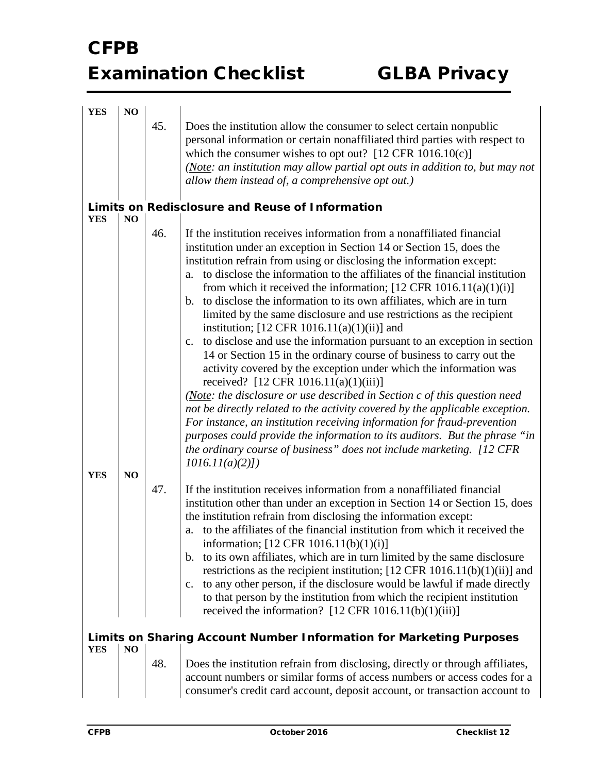| <b>YES</b> | NO             |     |                                                                                                                                                                                                                                                                                                                                                                                                                                                                                                                                                                                                                                                                                                                                                                                                                                                                                                                                                                                                                                                                                                                                                                                                                                                                                                              |
|------------|----------------|-----|--------------------------------------------------------------------------------------------------------------------------------------------------------------------------------------------------------------------------------------------------------------------------------------------------------------------------------------------------------------------------------------------------------------------------------------------------------------------------------------------------------------------------------------------------------------------------------------------------------------------------------------------------------------------------------------------------------------------------------------------------------------------------------------------------------------------------------------------------------------------------------------------------------------------------------------------------------------------------------------------------------------------------------------------------------------------------------------------------------------------------------------------------------------------------------------------------------------------------------------------------------------------------------------------------------------|
|            |                | 45. | Does the institution allow the consumer to select certain nonpublic<br>personal information or certain nonaffiliated third parties with respect to<br>which the consumer wishes to opt out? $[12 \text{ CFR } 1016.10(c)]$<br>(Note: an institution may allow partial opt outs in addition to, but may not<br>allow them instead of, a comprehensive opt out.)                                                                                                                                                                                                                                                                                                                                                                                                                                                                                                                                                                                                                                                                                                                                                                                                                                                                                                                                               |
|            |                |     | Limits on Redisclosure and Reuse of Information                                                                                                                                                                                                                                                                                                                                                                                                                                                                                                                                                                                                                                                                                                                                                                                                                                                                                                                                                                                                                                                                                                                                                                                                                                                              |
| <b>YES</b> | NO.            |     |                                                                                                                                                                                                                                                                                                                                                                                                                                                                                                                                                                                                                                                                                                                                                                                                                                                                                                                                                                                                                                                                                                                                                                                                                                                                                                              |
| <b>YES</b> | NO             | 46. | If the institution receives information from a nonaffiliated financial<br>institution under an exception in Section 14 or Section 15, does the<br>institution refrain from using or disclosing the information except:<br>to disclose the information to the affiliates of the financial institution<br>a.<br>from which it received the information; $[12 \text{ CFR } 1016.11(a)(1)(i)]$<br>b. to disclose the information to its own affiliates, which are in turn<br>limited by the same disclosure and use restrictions as the recipient<br>institution; $[12 \text{ CFR } 1016.11(a)(1)(ii)]$ and<br>to disclose and use the information pursuant to an exception in section<br>c.<br>14 or Section 15 in the ordinary course of business to carry out the<br>activity covered by the exception under which the information was<br>received? $[12 \text{ CFR } 1016.11(a)(1)(iii)]$<br>(Note: the disclosure or use described in Section c of this question need<br>not be directly related to the activity covered by the applicable exception.<br>For instance, an institution receiving information for fraud-prevention<br>purposes could provide the information to its auditors. But the phrase "in<br>the ordinary course of business" does not include marketing. [12 CFR<br>$1016.11(a)(2)$ ] |
|            |                | 47. | If the institution receives information from a nonaffiliated financial                                                                                                                                                                                                                                                                                                                                                                                                                                                                                                                                                                                                                                                                                                                                                                                                                                                                                                                                                                                                                                                                                                                                                                                                                                       |
|            |                |     | institution other than under an exception in Section 14 or Section 15, does<br>the institution refrain from disclosing the information except:<br>to the affiliates of the financial institution from which it received the<br>a.<br>information; [12 CFR 1016.11(b)(1)(i)]<br>b. to its own affiliates, which are in turn limited by the same disclosure<br>restrictions as the recipient institution; $[12 \text{ CFR } 1016.11(b)(1)(ii)]$ and<br>to any other person, if the disclosure would be lawful if made directly<br>$\mathbf{c}$ .<br>to that person by the institution from which the recipient institution<br>received the information? $[12 \text{ CFR } 1016.11(b)(1)(iii)]$                                                                                                                                                                                                                                                                                                                                                                                                                                                                                                                                                                                                                 |
|            |                |     | <b>Limits on Sharing Account Number Information for Marketing Purposes</b>                                                                                                                                                                                                                                                                                                                                                                                                                                                                                                                                                                                                                                                                                                                                                                                                                                                                                                                                                                                                                                                                                                                                                                                                                                   |
| <b>YES</b> | N <sub>O</sub> |     |                                                                                                                                                                                                                                                                                                                                                                                                                                                                                                                                                                                                                                                                                                                                                                                                                                                                                                                                                                                                                                                                                                                                                                                                                                                                                                              |
|            |                | 48. | Does the institution refrain from disclosing, directly or through affiliates,<br>account numbers or similar forms of access numbers or access codes for a<br>consumer's credit card account, deposit account, or transaction account to                                                                                                                                                                                                                                                                                                                                                                                                                                                                                                                                                                                                                                                                                                                                                                                                                                                                                                                                                                                                                                                                      |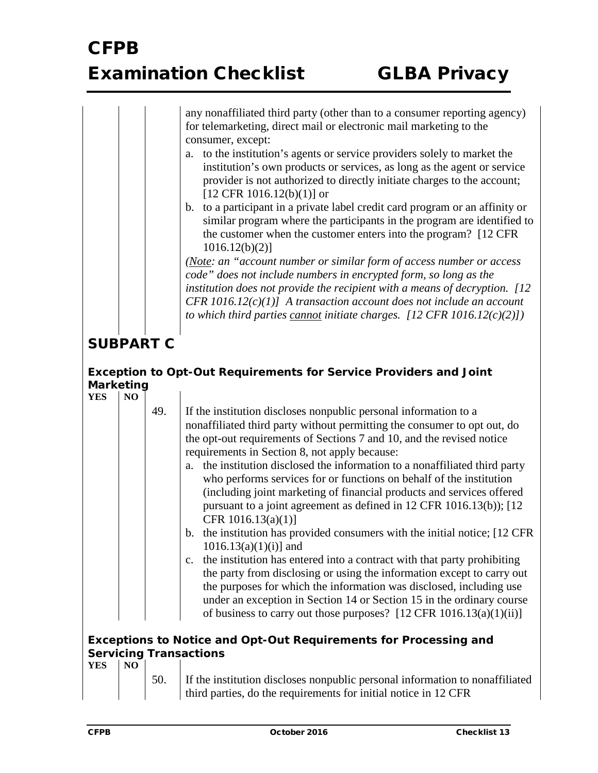any nonaffiliated third party (other than to a consumer reporting agency) for telemarketing, direct mail or electronic mail marketing to the consumer, except:

- a. to the institution's agents or service providers solely to market the institution's own products or services, as long as the agent or service provider is not authorized to directly initiate charges to the account;  $[12$  CFR 1016.12(b)(1)] or
- b. to a participant in a private label credit card program or an affinity or similar program where the participants in the program are identified to the customer when the customer enters into the program? [12 CFR 1016.12(b)(2)]

*(Note: an "account number or similar form of access number or access code" does not include numbers in encrypted form, so long as the institution does not provide the recipient with a means of decryption. [12 CFR 1016.12(c)(1)] A transaction account does not include an account to which third parties cannot initiate charges. [12 CFR 1016.12(c)(2)])*

### **SUBPART C**

#### *Exception to Opt-Out Requirements for Service Providers and Joint Marketing* **YES NO**

| <b>YES</b> | N <sub>O</sub> |     |                                                                                                                                                         |
|------------|----------------|-----|---------------------------------------------------------------------------------------------------------------------------------------------------------|
|            |                | 49. | If the institution discloses nonpublic personal information to a                                                                                        |
|            |                |     | nonaffiliated third party without permitting the consumer to opt out, do                                                                                |
|            |                |     | the opt-out requirements of Sections 7 and 10, and the revised notice                                                                                   |
|            |                |     | requirements in Section 8, not apply because:                                                                                                           |
|            |                |     | the institution disclosed the information to a nonaffiliated third party<br>a.                                                                          |
|            |                |     | who performs services for or functions on behalf of the institution                                                                                     |
|            |                |     | (including joint marketing of financial products and services offered                                                                                   |
|            |                |     | pursuant to a joint agreement as defined in 12 CFR 1016.13(b)); [12                                                                                     |
|            |                |     | CFR $1016.13(a)(1)$ ]                                                                                                                                   |
|            |                |     | b. the institution has provided consumers with the initial notice; [12 CFR]                                                                             |
|            |                |     | $1016.13(a)(1)(i)$ ] and                                                                                                                                |
|            |                |     | c. the institution has entered into a contract with that party prohibiting                                                                              |
|            |                |     | the party from disclosing or using the information except to carry out                                                                                  |
|            |                |     | the purposes for which the information was disclosed, including use                                                                                     |
|            |                |     | under an exception in Section 14 or Section 15 in the ordinary course<br>of business to carry out those purposes? $[12 \text{ CFR } 1016.13(a)(1)(ii)]$ |
|            |                |     |                                                                                                                                                         |
|            |                |     | <b>Exceptions to Notice and Opt-Out Requirements for Processing and</b>                                                                                 |
|            |                |     | <b>Servicing Transactions</b>                                                                                                                           |
| <b>YES</b> | N <sub>O</sub> |     |                                                                                                                                                         |
|            |                | 50. | If the institution discloses nonpublic personal information to nonaffiliated                                                                            |

es nonpublic personal inf third parties, do the requirements for initial notice in 12 CFR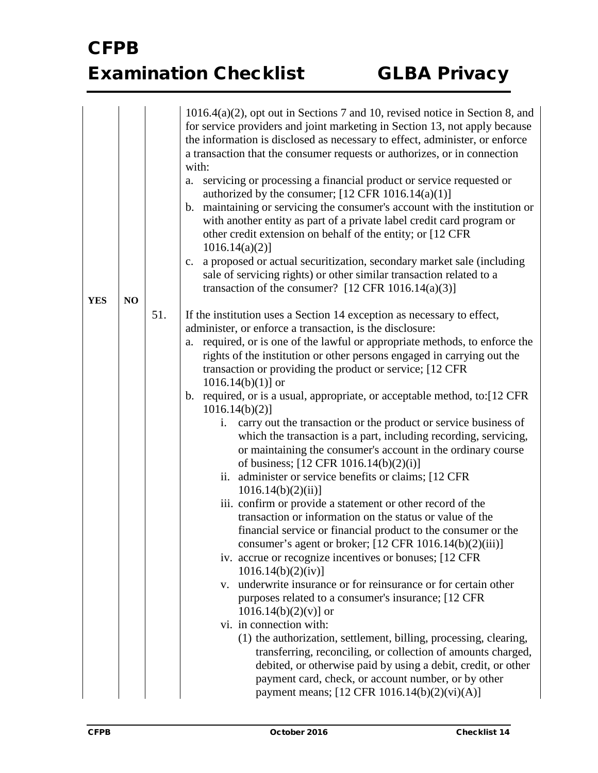|                  | 1016.4(a)(2), opt out in Sections 7 and 10, revised notice in Section 8, and<br>for service providers and joint marketing in Section 13, not apply because<br>the information is disclosed as necessary to effect, administer, or enforce<br>a transaction that the consumer requests or authorizes, or in connection<br>with:<br>servicing or processing a financial product or service requested or<br>a.<br>authorized by the consumer; $[12 \text{ CFR } 1016.14(a)(1)]$<br>maintaining or servicing the consumer's account with the institution or<br>b.<br>with another entity as part of a private label credit card program or<br>other credit extension on behalf of the entity; or [12 CFR]<br>$1016.14(a)(2)$ ]                                                                                                                                                                                                                                                                                                                                                                                                                                                                                                                                                                                                                                                                                                                                                                                                                                                                                                                                              |
|------------------|-------------------------------------------------------------------------------------------------------------------------------------------------------------------------------------------------------------------------------------------------------------------------------------------------------------------------------------------------------------------------------------------------------------------------------------------------------------------------------------------------------------------------------------------------------------------------------------------------------------------------------------------------------------------------------------------------------------------------------------------------------------------------------------------------------------------------------------------------------------------------------------------------------------------------------------------------------------------------------------------------------------------------------------------------------------------------------------------------------------------------------------------------------------------------------------------------------------------------------------------------------------------------------------------------------------------------------------------------------------------------------------------------------------------------------------------------------------------------------------------------------------------------------------------------------------------------------------------------------------------------------------------------------------------------|
|                  | a proposed or actual securitization, secondary market sale (including<br>c.<br>sale of servicing rights) or other similar transaction related to a<br>transaction of the consumer? $[12 \text{ CFR } 1016.14(a)(3)]$                                                                                                                                                                                                                                                                                                                                                                                                                                                                                                                                                                                                                                                                                                                                                                                                                                                                                                                                                                                                                                                                                                                                                                                                                                                                                                                                                                                                                                                    |
| <b>YES</b><br>NO | 51.<br>If the institution uses a Section 14 exception as necessary to effect,<br>administer, or enforce a transaction, is the disclosure:<br>required, or is one of the lawful or appropriate methods, to enforce the<br>a.<br>rights of the institution or other persons engaged in carrying out the<br>transaction or providing the product or service; [12 CFR]<br>$1016.14(b)(1)$ ] or<br>b. required, or is a usual, appropriate, or acceptable method, to: [12 CFR]<br>$1016.14(b)(2)$ ]<br>carry out the transaction or the product or service business of<br>i.<br>which the transaction is a part, including recording, servicing,<br>or maintaining the consumer's account in the ordinary course<br>of business; [12 CFR 1016.14(b)(2)(i)]<br>ii. administer or service benefits or claims; [12 CFR]<br>1016.14(b)(2)(ii)<br>iii. confirm or provide a statement or other record of the<br>transaction or information on the status or value of the<br>financial service or financial product to the consumer or the<br>consumer's agent or broker; [12 CFR 1016.14(b)(2)(iii)]<br>iv. accrue or recognize incentives or bonuses; [12 CFR<br>1016.14(b)(2)(iv)<br>v. underwrite insurance or for reinsurance or for certain other<br>purposes related to a consumer's insurance; [12 CFR]<br>$1016.14(b)(2)(v)$ ] or<br>vi. in connection with:<br>(1) the authorization, settlement, billing, processing, clearing,<br>transferring, reconciling, or collection of amounts charged,<br>debited, or otherwise paid by using a debit, credit, or other<br>payment card, check, or account number, or by other<br>payment means; [12 CFR 1016.14(b)(2)(vi)(A)] |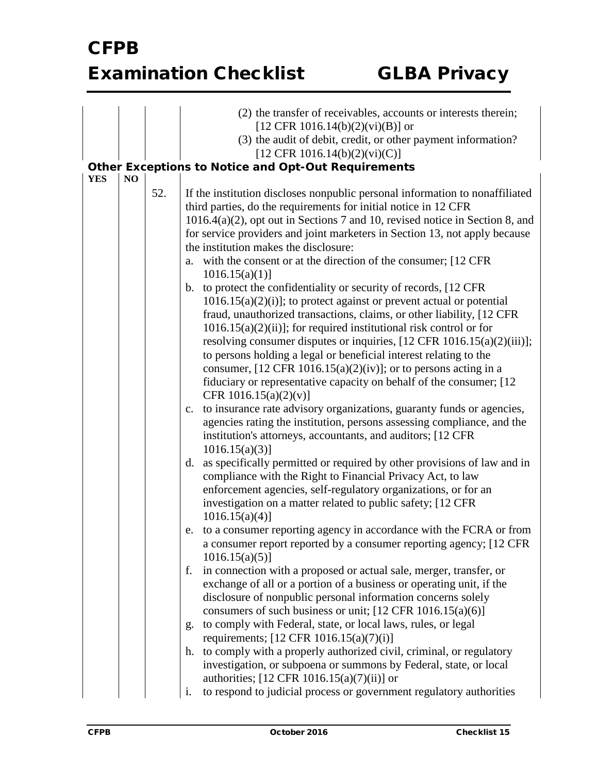|                              |  |     | (2) the transfer of receivables, accounts or interests therein;<br>[12 CFR 1016.14(b)(2)(vi)(B)] or<br>(3) the audit of debit, credit, or other payment information?<br>[12 CFR 1016.14(b)(2)(vi)(C)]<br><b>Other Exceptions to Notice and Opt-Out Requirements</b>                                                                                                                                                                                                                                                                                                                                                                                                                                                                                                                                                                                          |
|------------------------------|--|-----|--------------------------------------------------------------------------------------------------------------------------------------------------------------------------------------------------------------------------------------------------------------------------------------------------------------------------------------------------------------------------------------------------------------------------------------------------------------------------------------------------------------------------------------------------------------------------------------------------------------------------------------------------------------------------------------------------------------------------------------------------------------------------------------------------------------------------------------------------------------|
| <b>YES</b><br>N <sub>O</sub> |  |     |                                                                                                                                                                                                                                                                                                                                                                                                                                                                                                                                                                                                                                                                                                                                                                                                                                                              |
|                              |  | 52. | If the institution discloses nonpublic personal information to nonaffiliated<br>third parties, do the requirements for initial notice in 12 CFR<br>$1016.4(a)(2)$ , opt out in Sections 7 and 10, revised notice in Section 8, and<br>for service providers and joint marketers in Section 13, not apply because<br>the institution makes the disclosure:<br>with the consent or at the direction of the consumer; [12 CFR]<br>a.<br>1016.15(a)(1)                                                                                                                                                                                                                                                                                                                                                                                                           |
|                              |  |     | b. to protect the confidentiality or security of records, [12 CFR]<br>$1016.15(a)(2)(i)$ ; to protect against or prevent actual or potential<br>fraud, unauthorized transactions, claims, or other liability, [12 CFR<br>$1016.15(a)(2)(ii)$ ; for required institutional risk control or for<br>resolving consumer disputes or inquiries, $[12 \text{ CFR } 1016.15(a)(2)(iii)];$<br>to persons holding a legal or beneficial interest relating to the<br>consumer, $[12 \text{ CFR } 1016.15(a)(2)(iv)]$ ; or to persons acting in a<br>fiduciary or representative capacity on behalf of the consumer; [12]<br>CFR 1016.15(a)(2)(v)]<br>c. to insurance rate advisory organizations, guaranty funds or agencies,<br>agencies rating the institution, persons assessing compliance, and the<br>institution's attorneys, accountants, and auditors; [12 CFR |
|                              |  |     | $1016.15(a)(3)$ ]<br>d. as specifically permitted or required by other provisions of law and in<br>compliance with the Right to Financial Privacy Act, to law<br>enforcement agencies, self-regulatory organizations, or for an<br>investigation on a matter related to public safety; [12 CFR                                                                                                                                                                                                                                                                                                                                                                                                                                                                                                                                                               |
|                              |  |     | $1016.15(a)(4)$ ]<br>e. to a consumer reporting agency in accordance with the FCRA or from<br>a consumer report reported by a consumer reporting agency; [12 CFR]<br>$1016.15(a)(5)$ ]                                                                                                                                                                                                                                                                                                                                                                                                                                                                                                                                                                                                                                                                       |
|                              |  |     | in connection with a proposed or actual sale, merger, transfer, or<br>f.<br>exchange of all or a portion of a business or operating unit, if the<br>disclosure of nonpublic personal information concerns solely<br>consumers of such business or unit; $[12 \text{ CFR } 1016.15(a)(6)]$                                                                                                                                                                                                                                                                                                                                                                                                                                                                                                                                                                    |
|                              |  |     | to comply with Federal, state, or local laws, rules, or legal<br>g.                                                                                                                                                                                                                                                                                                                                                                                                                                                                                                                                                                                                                                                                                                                                                                                          |
|                              |  |     | requirements; $[12 \text{ CFR } 1016.15(a)(7)(i)]$                                                                                                                                                                                                                                                                                                                                                                                                                                                                                                                                                                                                                                                                                                                                                                                                           |
|                              |  |     | to comply with a properly authorized civil, criminal, or regulatory<br>h.<br>investigation, or subpoena or summons by Federal, state, or local<br>authorities; $[12 \text{ CFR } 1016.15(a)(7)(ii)]$ or                                                                                                                                                                                                                                                                                                                                                                                                                                                                                                                                                                                                                                                      |
|                              |  |     | to respond to judicial process or government regulatory authorities<br>i.                                                                                                                                                                                                                                                                                                                                                                                                                                                                                                                                                                                                                                                                                                                                                                                    |